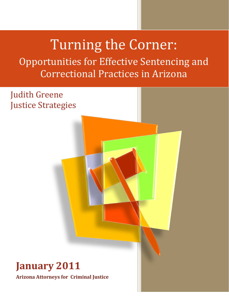# Turning the Corner:

Opportunities for Effective Sentencing and Correctional Practices in Arizona

Judith Greene Justice Strategies

## **January 2011 Arizona Attorneys for Criminal Justice**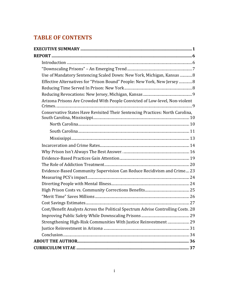## **TABLE OF CONTENTS**

| Use of Mandatory Sentencing Scaled Down: New York, Michigan, Kansas  8           |  |
|----------------------------------------------------------------------------------|--|
| Effective Alternatives for "Prison Bound" People: New York, New Jersey  8        |  |
|                                                                                  |  |
|                                                                                  |  |
| Arizona Prisons Are Crowded With People Convicted of Low-level, Non-violent      |  |
| Conservative States Have Revisited Their Sentencing Practices: North Carolina,   |  |
|                                                                                  |  |
|                                                                                  |  |
|                                                                                  |  |
|                                                                                  |  |
|                                                                                  |  |
|                                                                                  |  |
|                                                                                  |  |
| Evidence-Based Community Supervision Can Reduce Recidivism and Crime 23          |  |
|                                                                                  |  |
|                                                                                  |  |
|                                                                                  |  |
|                                                                                  |  |
|                                                                                  |  |
| Cost/Benefit Analysts Across the Political Spectrum Advise Controlling Costs. 28 |  |
|                                                                                  |  |
| Strengthening High-Risk Communities With Justice Reinvestment  29                |  |
|                                                                                  |  |
|                                                                                  |  |
|                                                                                  |  |
|                                                                                  |  |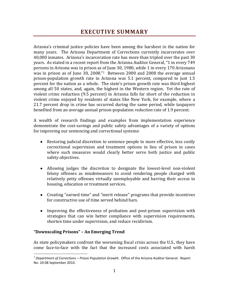Arizona's criminal justice policies have been among the harshest in the nation for many years. The Arizona Department of Corrections currently incarcerates over 40,000 inmates. Arizona's incarceration rate has more than tripled over the past 30 years. As stated in a recent report from the Arizona Auditor General, "1 in every 749 persons in Arizona was in prison as of June 30, 1980, while 1 in every 170 Arizonans was in prison as of June 30, 2008."1 Between 2000 and 2008 the average annual prison-population growth rate in Arizona was 5.1 percent, compared to just 1.5 percent for the nation as a whole. The state's prison growth rate was third highest among all 50 states, and, again, the highest in the Western region. Yet the rate of violent crime reduction (9.5 percent) in Arizona falls far short of the reduction in violent crime enjoyed by residents of states like New York, for example, where a 21.7 percent drop in crime has occurred during the same period, while taxpayers benefited from an average annual prison-population *reduction* rate of 1.9 percent.

A wealth of research findings and examples from implementation experience demonstrate the cost-savings and public safety advantages of a variety of options for improving our sentencing and correctional systems:

- Restoring judicial discretion to sentence people to more effective, less costly correctional supervision and treatment options in lieu of prison in cases where such measures would clearly better serve both justice and public safety objectives.
- Allowing judges the discretion to designate the lowest-level non-violent felony offenses as misdemeanors to avoid rendering people charged with relatively petty offenses virtually unemployable and barring their access to housing, education or treatment services.
- Creating "earned time" and "merit release" programs that provide incentives for constructive use of time served behind bars.
- Improving the effectiveness of probation and post-prison supervision with strategies that can win better compliance with supervision requirements, shorten time under supervision, and reduce recidivism.

## **"Downscaling Prisons" – An Emerging Trend**

 $\overline{a}$ 

As state policymakers confront the worsening fiscal crisis across the U.S., they have come face-to-face with the fact that the increased costs associated with harsh

<sup>1</sup> *Department of Corrections – Prison Population Growth.* Office of the Arizona Auditor General. Report No. 10-08 September 2010.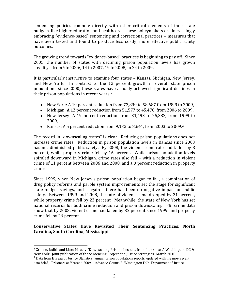sentencing policies compete directly with other critical elements of their state budgets, like higher education and healthcare. These policymakers are increasingly embracing "evidence-based" sentencing and correctional practices – measures that have been tested and found to produce less costly, more effective public safety outcomes.

The growing trend towards "evidence-based" practices is beginning to pay off. Since 2005, the number of states with declining prison population levels has grown steadily – from 9in 2006, 14 in 2007, 19 in 2008, to 24 in 2009.

It is particularly instructive to examine four states – Kansas, Michigan, New Jersey, and New York. In contrast to the 12 percent growth in overall state prison populations since 2000, these states have actually achieved significant declines in their prison populations in recent years:2

- New York: A 19 percent reduction from 72,899 to 58,687 from 1999 to 2009,
- Michigan: A 12 percent reduction from 51,577 to 45,478, from 2006 to 2009,
- New Jersey: A 19 percent reduction from 31,493 to 25,382, from 1999 to 2009,
- Kansas: A 5 percent reduction from 9,132 to 8,641, from 2003 to 2009. 3

The record in "downscaling states" is clear. Reducing prison populations does not increase crime rates. Reduction in prison population levels in Kansas since 2003 has not diminished public safety. By 2008, the violent crime rate had fallen by 3 percent, while property crime fell by 16 percent. While prison population levels spiraled downward in Michigan, crime rates also fell – with a reduction in violent crime of 11 percent between 2006 and 2008, and a 9 percent reduction in property crime.

Since 1999, when New Jersey's prison population began to fall, a combination of drug policy reforms and parole system improvements set the stage for significant state budget savings, and – again – there has been no negative impact on public safety. Between 1999 and 2008, the rate of violent crime dropped by 21 percent, while property crime fell by 23 percent. Meanwhile, the state of New York has set national records for both crime reduction and prison downscaling. FBI crime data show that by 2008, violent crime had fallen by 32 percent since 1999, and property crime fell by 26 percent.

## **Conservative States Have Revisited Their Sentencing Practices: North Carolina, South Carolina, Mississippi**

 <sup>2</sup> Greene, Judith and Marc Mauer. "Downscaling Prison: Lessons from four states," Washington, DC & New York: Joint publication of the Sentencing Project and Justice Strategies. March 2010.<br><sup>3</sup> Data from Bureau of Justice Statistics' annual prison populations reports, updated with the most recent

data brief, "Prisoners at Yearend 2009 – Advance Counts." Washington DC: Department of Justice.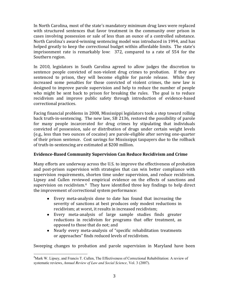In North Carolina, most of the state's mandatory minimum drug laws were replaced with structured sentences that favor treatment in the community over prison in cases involving possession or sale of less than an ounce of a controlled substance. North Carolina's award-winning sentencing model was introduced in 1994, and has helped greatly to keep the correctional budget within affordable limits. The state's imprisonment rate is remarkably low: 372, compared to a rate of 554 for the Southern region.

In 2010, legislators in South Carolina agreed to allow judges the discretion to sentence people convicted of non-violent drug crimes to probation. If they are sentenced to prison, they will become eligible for parole release. While they increased some penalties for those convicted of violent crimes, the new law is designed to improve parole supervision and help to reduce the number of people who might be sent back to prison for breaking the rules. The goal is to reduce recidivism and improve public safety through introduction of evidence-based correctional practices.

Facing financial problems in 2008, Mississippi legislators took a step toward rolling back truth-in-sentencing. The new law, SB 2136, restored the possibility of parole for many people incarcerated for drug crimes by stipulating that individuals convicted of possession, sale or distribution of drugs under certain weight levels (e.g., less than two ounces of cocaine) are parole-eligible after serving one-quarter of their prison sentence. Cost savings for Mississippi taxpayers due to the rollback of truth-in-sentencing are estimated at \$200 million.

## **Evidence-Based Community Supervision Can Reduce Recidivism and Crime**

Many efforts are underway across the U.S. to improve the effectiveness of probation and post-prison supervision with strategies that can win better compliance with supervision requirements, shorten time under supervision, and reduce recidivism. Lipsey and Cullen reviewed empirical evidence on the effects of sanctions and supervision on recidivism.<sup>4</sup> They have identified three key findings to help direct the improvement of correctional system performance:

- Every meta-analysis done to date has found that increasing the  $\bullet$ severity of sanctions at best produces only modest reductions in recidivism; at worst, it results in increased recidivism;
- Every meta-analysis of large sample studies finds greater reductions in recidivism for programs that offer treatment, as opposed to those that do not; and
- Nearly every meta-analysis of "specific rehabilitation treatments or approaches" finds reduced levels of recidivism.

Sweeping changes to probation and parole supervision in Maryland have been

 $\frac{1}{4}$  $<sup>4</sup>$ Mark W. Lipsey, and Francis T. Cullen, The Effectiveness of Correctional Rehabilitation: A review of</sup> systematic reviews, *Annual Review of Law and Social Science,* Vol. 3 (2007).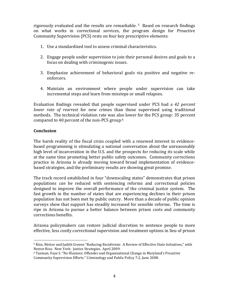rigorously evaluated and the results are remarkable. <sup>5</sup> Based on research findings on what works in correctional services, the program design for Proactive Community Supervision (PCS) rests on four key prescriptive elements:

- 1. Use a standardized tool to assess criminal characteristics.
- 2. Engage people under supervision to join their personal desires and goals to a focus on dealing with criminogenic issues.
- 3. Emphasize achievement of behavioral goals via positive and negative reenforcers.
- 4. Maintain an environment where people under supervision can take incremental steps and learn from missteps or small relapses.

Evaluation findings revealed that people supervised under PCS had a *42 percent lower rate of rearrest* for new crimes than those supervised using traditional methods. The technical violation rate was also lower for the PCS group: 35 percent compared to 40 percent of the non-PCS group.6

## **Conclusion**

The harsh reality of the fiscal crisis coupled with a renewed interest in evidencebased programming is stimulating a national conversation about the unreasonably high level of incarceration in the U.S. and the prospects for reducing its scale while at the same time promoting better public safety outcomes. Community corrections practice in Arizona is already moving toward broad implementation of evidencebased strategies, and the preliminary results are showing great promise.

The track record established in four "downscaling states" demonstrates that prison populations *can* be reduced with sentencing reforms and correctional policies designed to improve the overall performance of the criminal justice system. The fast growth in the number of states that are experiencing declines in their prison population has not been met by public outcry. More than a decade of public opinion surveys show that support has steadily increased for sensible reforms. The time is ripe in Arizona to pursue a better balance between prison costs and community corrections benefits.

Arizona policymakers can restore judicial discretion to sentence people to more effective, less costly correctional supervision and treatment options in lieu of prison

 <sup>5</sup> Ríos, Néstor and Judith Greene "Reducing Recidivism: A Review of Effective State Initiatives," with Nestor Rios. New York: Justice Strategies. April 2009.

<sup>6</sup> Taxman, Faye S. "No Illusions: Offender and Organizational Change in Maryland's Proactive Community Supervision Efforts." Criminology and Public Policy 7:2, June 2008.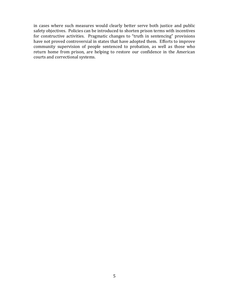in cases where such measures would clearly better serve both justice and public safety objectives. Policies can be introduced to shorten prison terms with incentives for constructive activities. Pragmatic changes to "truth in sentencing" provisions have not proved controversial in states that have adopted them. Efforts to improve community supervision of people sentenced to probation, as well as those who return home from prison, are helping to restore our confidence in the American courts and correctional systems.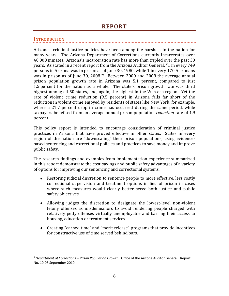## **INTRODUCTION**

 $\overline{a}$ 

Arizona's criminal justice policies have been among the harshest in the nation for many years. The Arizona Department of Corrections currently incarcerates over 40,000 inmates. Arizona's incarceration rate has more than tripled over the past 30 years. As stated in a recent report from the Arizona Auditor General, "1 in every 749 persons in Arizona was in prison as of June 30, 1980, while 1 in every 170 Arizonans was in prison as of June 30, 2008."1 Between 2000 and 2008 the average annual prison population growth rate in Arizona was 5.1 percent, compared to just 1.5 percent for the nation as a whole. The state's prison growth rate was third highest among all 50 states, and, again, the highest in the Western region. Yet the rate of violent crime reduction (9.5 percent) in Arizona falls far short of the reduction in violent crime enjoyed by residents of states like New York, for example, where a 21.7 percent drop in crime has occurred during the same period, while taxpayers benefited from an average annual prison population *reduction* rate of 1.9 percent.

This policy report is intended to encourage consideration of criminal justice practices in Arizona that have proved effective in other states. States in every region of the nation are "downscaling" their prison populations, using evidencebased sentencing and correctional policies and practices to save money and improve public safety.

The research findings and examples from implementation experience summarized in this report demonstrate the cost-savings and public safety advantages of a variety of options for improving our sentencing and correctional systems:

- Restoring judicial discretion to sentence people to more effective, less costly correctional supervision and treatment options in lieu of prison in cases where such measures would clearly better serve both justice and public safety objectives.
- Allowing judges the discretion to designate the lowest-level non-violent felony offenses as misdemeanors to avoid rendering people charged with relatively petty offenses virtually unemployable and barring their access to housing, education or treatment services.
- Creating "earned time" and "merit release" programs that provide incentives for constructive use of time served behind bars.

<sup>1</sup> *Department of Corrections – Prison Population Growth.* Office of the Arizona Auditor General. Report No. 10-08 September 2010.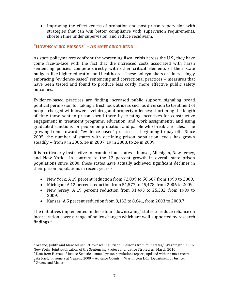Improving the effectiveness of probation and post-prison supervision with strategies that can win better compliance with supervision requirements, shorten time under supervision, and reduce recidivism.

## **"DOWNSCALING PRISONS" – AN EMERGING TREND**

As state policymakers confront the worsening fiscal crisis across the U.S., they have come face-to-face with the fact that the increased costs associated with harsh sentencing policies compete directly with other critical elements of their state budgets, like higher education and healthcare. These policymakers are increasingly embracing "evidence-based" sentencing and correctional practices – measures that have been tested and found to produce less costly, more effective public safety outcomes.

Evidence-based practices are finding increased public support, signaling broad political permission for taking a fresh look at ideas such as diversion to treatment of people charged with lower-level drug and property offenses; shortening the length of time those sent to prison spend there by creating incentives for constructive engagement in treatment programs, education, and work assignments; and using graduated sanctions for people on probation and parole who break the rules. The growing trend towards "evidence-based" practices is beginning to pay off. Since 2005, the number of states with declining prison population levels has grown steadily -- from 9 in 2006, 14 in 2007, 19 in 2008, to 24 in 2009.

It is particularly instructive to examine four states – Kansas, Michigan, New Jersey, and New York. In contrast to the 12 percent growth in overall state prison populations since 2000, these states have actually achieved significant declines in their prison populations in recent years:2

- New York: A 19 percent reduction from 72,899 to 58,687 from 1999 to 2009,
- Michigan: A 12 percent reduction from 51,577 to 45,478, from 2006 to 2009,
- New Jersey: A 19 percent reduction from 31,493 to 25,382, from 1999 to 2009,
- Kansas: A 5 percent reduction from 9,132 to 8,641, from 2003 to 2009. 3

The initiatives implemented in these four "downscaling" states to reduce reliance on incarceration cover a range of policy changes which are well-supported by research findings.4

data brief, "Prisoners at Yearend 2009 – Advance Counts." Washington DC: Department of Justice.

<sup>&</sup>lt;sup>2</sup> Greene, Judith and Marc Mauer. "Downscaling Prison: Lessons from four states," Washington, DC & New York: Joint publication of the Sentencing Project and Justice Strategies. March 2010.<br><sup>3</sup> Data from Bureau of Justice Statistics' annual prison populations reports, updated with the most recent

<sup>4</sup> Greene and Mauer.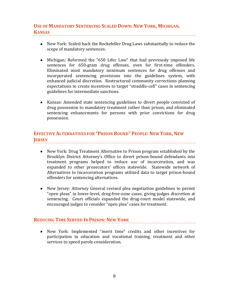## **USE OF MANDATORY SENTENCING SCALED DOWN: NEW YORK, MICHIGAN, KANSAS**

- New York: Scaled back the Rockefeller Drug Laws substantially to reduce the scope of mandatory sentences.
- Michigan: Reformed the "650 Lifer Law" that had previously imposed life sentences for 650-gram drug offenses, even for first-time offenders. Eliminated most mandatory minimum sentences for drug offenses and incorporated sentencing provisions into the guidelines system, with enhanced judicial discretion. Restructured community corrections planning expectations to create incentives to target "straddle-cell" cases in sentencing guidelines for intermediate sanctions.
- Kansas: Amended state sentencing guidelines to divert people convicted of drug possession to mandatory treatment rather than prison, and eliminated sentencing enhancements for persons with prior convictions for drug possession.

## **EFFECTIVE ALTERNATIVES FOR "PRISON BOUND" PEOPLE: NEW YORK, NEW JERSEY**

- New York: Drug Treatment Alternative to Prison program established by the Brooklyn District Attorney's Office to divert prison-bound defendants into treatment programs helped to reduce use of incarceration, and was expanded to other prosecutors' offices statewide. Statewide network of Alternatives to Incarceration programs utilized data to target prison-bound offenders for sentencing alternatives.
- New Jersey: Attorney General revised plea negotiation guidelines to permit "open pleas" in lower-level, drug-free-zone cases, giving judges discretion at sentencing. Court officials expanded the drug-court model statewide, and encouraged judges to consider "open plea" cases for treatment.

## **REDUCING TIME SERVED IN PRISON: NEW YORK**

New York: Implemented "merit time" credits and other incentives for participation in education and vocational training, treatment and other services to speed parole consideration.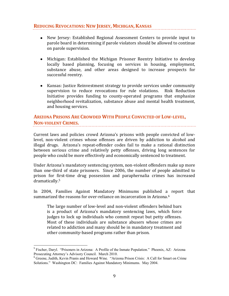## **REDUCING REVOCATIONS: NEW JERSEY, MICHIGAN,KANSAS**

- New Jersey: Established Regional Assessment Centers to provide input to parole board in determining if parole violators should be allowed to continue on parole supervision.
- Michigan: Established the Michigan Prisoner Reentry Initiative to develop locally based planning, focusing on services in housing, employment, substance abuse, and other areas designed to increase prospects for successful reentry.
- Kansas: Justice Reinvestment strategy to provide services under community supervision to reduce revocations for rule violations. Risk Reduction Initiative provides funding to county-operated programs that emphasize neighborhood revitalization, substance abuse and mental health treatment, and housing services.

## **ARIZONA PRISONS ARE CROWDED WITH PEOPLE CONVICTED OF LOW-LEVEL, NON-VIOLENT CRIMES.**

Current laws and policies crowd Arizona's prisons with people convicted of lowlevel, non-violent crimes whose offenses are driven by addiction to alcohol and illegal drugs. Arizona's repeat-offender codes fail to make a rational distinction between serious crime and relatively petty offenses, driving long sentences for people who could be more effectively and economically sentenced to treatment.

Under Arizona's mandatory sentencing system, non-violent offenders make up more than one-third of state prisoners. Since 2006, the number of people admitted to prison for first-time drug possession and paraphernalia crimes has increased dramatically.5

In 2004, Families Against Mandatory Minimums published a report that summarized the reasons for over-reliance on incarceration in Arizona.<sup>6</sup>

The large number of low-level and non-violent offenders behind bars is a product of Arizona's mandatory sentencing laws, which force judges to lock up individuals who commit repeat but petty offenses. Most of these individuals are substance abusers whose crimes are related to addiction and many should be in mandatory treatment and other community-based programs rather than prison.

<sup>&</sup>lt;sup>5</sup> Fischer, Daryl. "Prisoners in Arizona: A Profile of the Inmate Population." Phoenix, AZ: Arizona Prosecuting Attorney's Advisory Council. March 2010.

<sup>6</sup> Greene, Judith, Kevin Pranis and Howard Wine. "Arizona Prison Crisis: A Call for Smart on Crime Solutions." Washington DC: Families Against Mandatory Minimums. May 2004.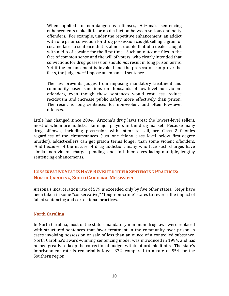When applied to non-dangerous offenses, Arizona's sentencing enhancements make little or no distinction between serious and petty offenders. For example, under the repetitive enhancement, an addict with one prior conviction for drug possession caught selling a gram of cocaine faces a sentence that is almost double that of a dealer caught with a kilo of cocaine for the first time. Such an outcome flies in the face of common sense and the will of voters, who clearly intended that convictions for drug possession should *not* result in long prison terms. Yet if the enhancement is invoked and the prosecutor can prove the facts, the judge *must* impose an enhanced sentence.

The law prevents judges from imposing mandatory treatment and community-based sanctions on thousands of low-level non-violent offenders, even though these sentences would cost less, reduce recidivism and increase public safety more effectively than prison. The result is long sentences for non-violent and often low-level offenses.

Little has changed since 2004. Arizona's drug laws treat the lowest-level sellers, most of whom are addicts, like major players in the drug market. Because many drug offenses, including possession with intent to sell, are Class 2 felonies regardless of the circumstances (just one felony class level below first-degree murder), addict-sellers can get prison terms longer than some violent offenders. And because of the nature of drug addiction, many who face such charges have similar non-violent charges pending, and find themselves facing multiple, lengthy sentencing enhancements.

## **CONSERVATIVE STATES HAVE REVISITED THEIR SENTENCING PRACTICES: NORTH CAROLINA, SOUTH CAROLINA, MISSISSIPPI**

Arizona's incarceration rate of 579 is exceeded only by five other states. Steps have been taken in some "conservative," "tough-on-crime" states to reverse the impact of failed sentencing and correctional practices.

## **North Carolina**

In North Carolina, most of the state's mandatory minimum drug laws were replaced with structured sentences that favor treatment in the community over prison in cases involving possession or sale of less than an ounce of a controlled substance. North Carolina's award-winning sentencing model was introduced in 1994, and has helped greatly to keep the correctional budget within affordable limits. The state's imprisonment rate is remarkably low: 372, compared to a rate of 554 for the Southern region.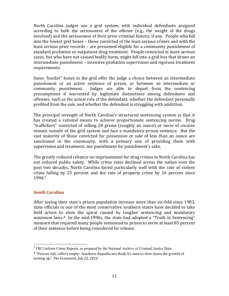North Carolina judges use a grid system, with individual defendants assigned according to both the seriousness of the offense (e.g., the weight of the drugs involved) and the seriousness of their prior criminal history, if any. People who fall into the lowest grid boxes – those convicted of the least serious crimes and with the least serious prior records – are presumed eligible for a community punishment of standard probation or outpatient drug treatment. People convicted in more serious cases, but who have not caused bodily harm, might fall into a grid box that draws an intermediate punishment – intensive probation supervision and rigorous treatment requirements.

Some "border" boxes in the grid offer the judge a choice between an intermediate punishment or an active sentence of prison, or between an intermediate or community punishment. Judges are able to depart from the sentencing presumptions if warranted by legitimate distinctions among defendants and offenses, such as the actual role of the defendant, whether the defendant personally profited from the sale, and whether the defendant is struggling with addiction.

The principal strength of North Carolina's structured sentencing system is that it has created a rational means to achieve proportionate sentencing norms. Drug "traffickers" convicted of selling 28 grams (roughly an ounce) or more of cocaine remain outside of the grid system and face a mandatory prison sentence. But the vast majority of those convicted for possession or sale of less than an ounce are sanctioned in the community, with a primary aim of providing them with supervision and treatment, not punishment for punishment's sake.

The greatly reduced reliance on imprisonment for drug crimes in North Carolina has not reduced public safety. While crime rates declined across the nation over the past two decades, North Carolina faired particularly well with the rate of violent crime falling by 25 percent and the rate of property crime by 16 percent since 1990.7

## **South Carolina**

After seeing their state's prison population increase more than six-fold since 1983, state officials in one of the most conservative southern states have decided to take bold action to stem the spiral caused by tougher sentencing and mandatory minimum laws.<sup>8</sup> In the mid-1990s, the state had adopted a "Truth in Sentencing" measure that required many people sentenced to prison to serve at least 85 percent of their sentence before being considered for release.

l <sup>7</sup> FBI Uniform Crime Reports, as prepared by the National Archive of Criminal Justice Data.

 $8$  "Prisons full, coffers empty: Southern Republicans think it's time to slow down the growth of locking up." *The Economist, July 22, 2010*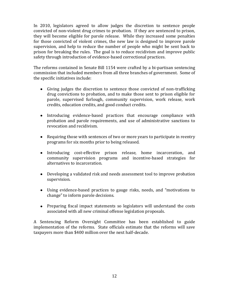In 2010, legislators agreed to allow judges the discretion to sentence people convicted of non-violent drug crimes to probation. If they are sentenced to prison, they will become eligible for parole release. While they increased some penalties for those convicted of violent crimes, the new law is designed to improve parole supervision, and help to reduce the number of people who might be sent back to prison for breaking the rules. The goal is to reduce recidivism and improve public safety through introduction of evidence-based correctional practices.

The reforms contained in Senate Bill 1154 were crafted by a bi-partisan sentencing commission that included members from all three branches of government. Some of the specific initiatives include:

- Giving judges the discretion to sentence those convicted of non-trafficking drug convictions to probation, and to make those sent to prison eligible for parole, supervised furlough, community supervision, work release, work credits, education credits, and good conduct credits.
- Introducing evidence-based practices that encourage compliance with probation and parole requirements, and use of administrative sanctions to revocation and recidivism.
- Requiring those with sentences of two or more years to participate in reentry programs for six months prior to being released.
- Introducing cost-effective prison release, home incarceration, and community supervision programs and incentive-based strategies for alternatives to incarceration.
- Developing a validated risk and needs assessment tool to improve probation supervision.
- Using evidence-based practices to gauge risks, needs, and "motivations to change" to inform parole decisions.
- Preparing fiscal impact statements so legislators will understand the costs associated with all new criminal offense legislation proposals.

A Sentencing Reform Oversight Committee has been established to guide implementation of the reforms. State officials estimate that the reforms will save taxpayers more than \$400 million over the next half-decade.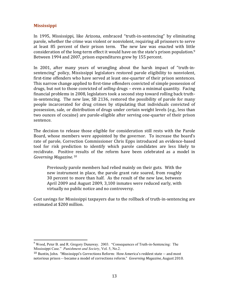## **Mississippi**

In 1995, Mississippi, like Arizona, embraced "truth-in-sentencing" by eliminating parole, whether the crime was violent or nonviolent, requiring all prisoners to serve at least 85 percent of their prison term. The new law was enacted with little consideration of the long-term effect it would have on the state's prison population.9 Between 1994 and 2007, prison expenditures grew by 155 percent.

In 2001, after many years of wrangling about the harsh impact of "truth-insentencing" policy, Mississippi legislators restored parole eligibility to nonviolent, first-time offenders who have served at least one-quarter of their prison sentences. This narrow change applied to first-time offenders convicted of simple possession of drugs, but not to those convicted of *selling* drugs – even a minimal quantity. Facing financial problems in 2008, legislators took a second step toward rolling back truthin-sentencing. The new law, SB 2136, restored the possibility of parole for many people incarcerated for drug crimes by stipulating that individuals convicted of possession, sale, or distribution of drugs under certain weight levels (e.g., less than two ounces of cocaine) are parole-eligible after serving one-quarter of their prison sentence.

The decision to release those eligible for consideration still rests with the Parole Board, whose members were appointed by the governor. To increase the board's rate of parole, Correction Commissioner Chris Epps introduced an evidence-based tool for risk prediction to identify which parole candidates are less likely to recidivate. Positive results of the reform have been celebrated as a model in *Governing Magazine.* <sup>10</sup>

Previously parole members had relied mainly on their guts. With the new instrument in place, the parole grant rate soared, from roughly 30 percent to more than half. As the result of the new law, between April 2009 and August 2009, 3,100 inmates were reduced early, with virtually no public notice and no controversy.

Cost savings for Mississippi taxpayers due to the rollback of truth-in-sentencing are estimated at \$200 million.

<sup>9</sup> Wood, Peter B. and R. Gregory Dunaway. 2003. "Consequences of Truth-in-Sentencing: The Mississippi Case." *Punishment and Society*, Vol. 5, No.2.

<sup>10</sup> Buntin, John. "Mississippi's Corrections Reform: How America's reddest state -- and most notorious prison -- became a model of corrections reform." *Governing Magazine,* August 2010.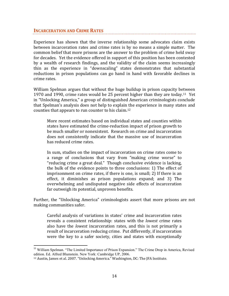## **INCARCERATION AND CRIME RATES**

Experience has shown that the inverse relationship some advocates claim exists between incarceration rates and crime rates is by no means a simple matter.The common belief that more prisons are the answer to the problem of crime held sway for decades. Yet the evidence offered in support of this position has been contested by a wealth of research findings, and the validity of the claim seems increasingly thin as the experience in "downscaling" states demonstrates that substantial reductions in prison populations can go hand in hand with favorable declines in crime rates.

William Spelman argues that without the huge buildup in prison capacity between 1970 and 1990, crime rates would be 25 percent higher than they are today.11 Yet in "Unlocking America," a group of distinguished American criminologists conclude that Spelman's analysis does not help to explain the experience in many states and counties that appears to run counter to his claim.12

More recent estimates based on individual states and counties within states have estimated the crime-reduction impact of prison growth to be much smaller or nonexistent. Research on crime and incarceration does not consistently indicate that the massive use of incarceration has reduced crime rates.

In sum, studies on the impact of incarceration on crime rates come to a range of conclusions that vary from "making crime worse" to "reducing crime a great deal." Though conclusive evidence is lacking, the bulk of the evidence points to three conclusions: 1) The effect of imprisonment on crime rates, if there is one, is small; 2) If there is an effect, it diminishes as prison populations expand; and 3) The overwhelming and undisputed negative side effects of incarceration far outweigh its potential, unproven benefits.

Further, the "Unlocking America" criminologists assert that more prisons are not making communities safer.

Careful analysis of variations in states' crime and incarceration rates reveals a consistent relationship: states with the *lowest* crime rates also have the *lowest* incarceration rates, and this is not primarily a result of incarceration reducing crime. Put differently, if incarceration were the key to a safer society, cities and states with exceptionally

<sup>&</sup>lt;sup>11</sup> William Spelman. "The Limited Importance of Prison Expansion." The Crime Drop in America, Revised edition. Ed. Alfred Blumstein. New York: Cambridge UP, 2006.

<sup>12</sup> Austin, James et al. 2007. "Unlocking America." Washington, DC: The JFA Institute.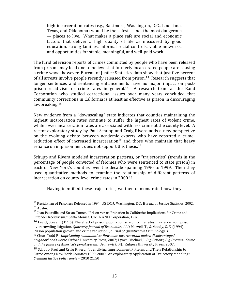high incarceration rates (e.g., Baltimore, Washington, D.C., Louisiana, Texas, and Oklahoma) would be the safest — not the most dangerous — places to live. What makes a place safe are social and economic factors that deliver a high quality of life as measured by good education, strong families, informal social controls, viable networks, and opportunities for stable, meaningful, and well-paid work.

The lurid television reports of crimes committed by people who have been released from prisons may lead one to believe that formerly incarcerated people are causing a crime wave; however, Bureau of Justice Statistics data show that just five percent of all arrests involve people recently released from prison.13 Research suggests that longer sentences and sentencing enhancements have no major impact on postprison recidivism or crime rates in general.14 A research team at the Rand Corporation who studied correctional issues over many years concluded that community corrections in California is at least as effective as prison in discouraging lawbreaking.15

New evidence from a "downscaling" state indicates that counties maintaining the highest incarceration rates continue to suffer the highest rates of violent crime, while lower incarceration rates are associated with less crime at the county level. A recent exploratory study by Paul Schupp and Craig Rivera adds a new perspective on the evolving debate between academic experts who have reported a crimereduction effect of increased incarceration<sup>16</sup> and those who maintain that heavy reliance on imprisonment does not support this thesis.<sup>17</sup>

Schupp and Rivera modeled incarceration patterns, or "trajectories" (trends in the percentage of people convicted of felonies who were sentenced to state prison) in each of New York's counties over the decade spanning 1990 to 1999. Then they used quantitative methods to examine the relationship of different patterns of incarceration on county-level crime rates in 2000.18

Having identified these trajectories, we then demonstrated how they

<sup>17</sup> Clear, Todd R. *Imprisoning communities: How mass incarceration makes disadvantaged neighborhoods worse,* Oxford University Press, 2007; Lynch, Michael J. *Big Prisons, Big Dreams: Crime* 

<sup>&</sup>lt;sup>13</sup> Recidivism of Prisoners Released in 1994. US DOJ. Washington, DC: Bureau of Justice Statistics, 2002.  $14$  Austin.

<sup>15</sup> Joan Petersilia and Susan Turner. "Prison versus Probation in California: Implications for Crime and Offender Recidivism." Santa Monica, CA: RAND Corporation, 1986.

<sup>&</sup>lt;sup>16</sup> Levitt, Steven. (1996). The effect of prison population size on crime rates: Evidence from prison overcrowding litigation. *Quarterly Journal of Economics, 111*; Marvell, T., & Moody, C. E. (1994). Prison population growth and crime reduction. *Journal of Quantitative Criminology, 10*

*and the failure of America's penal system.* Brunswick, NJ: Rutgers University Press, 2007. 18 Schupp, Paul and Craig Rivera. "Identifying Imprisonment Patterns and Their Relationship to Crime Among New York Counties 1990-2000: An exploratory Application of Trajectory Modeling.:

*Criminal Justice Policy Review* 2010 21:50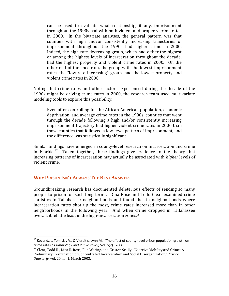can be used to evaluate what relationship, if any, imprisonment throughout the 1990s had with both violent and property crime rates in 2000. In the bivariate analyses, the general pattern was that counties with high and/or consistently increasing trajectories of imprisonment throughout the 1990s had higher crime in 2000. Indeed, the high-rate decreasing group, which had either the highest or among the highest levels of incarceration throughout the decade, had the highest property and violent crime rates in 2000. On the other end of the spectrum, the group with the lowest imprisonment rates, the "low-rate increasing" group, had the lowest property and violent crime rates in 2000.

Noting that crime rates and other factors experienced during the decade of the 1990s might be driving crime rates in 2000, the research team used multivariate modeling tools to explore this possibility.

Even after controlling for the African American population, economic deprivation, and average crime rates in the 1990s, counties that went through the decade following a high and/or consistently increasing imprisonment trajectory had higher violent crime rates in 2000 than those counties that followed a low-level pattern of imprisonment, and the difference was statistically significant.

Similar findings have emerged in county-level research on incarceration and crime in Florida.<sup>19</sup> Taken together, these findings give credence to the theory that increasing patterns of incarceration may actually be associated with *higher* levels of violent crime.

## **WHY PRISON ISN'T ALWAYS THE BEST ANSWER.**

Groundbreaking research has documented deleterious effects of sending so many people to prison for such long terms. Dina Rose and Todd Clear examined crime statistics in Tallahassee neighborhoods and found that in neighborhoods where incarceration rates shot up the most, crime rates increased more than in other neighborhoods in the following year. And when crime dropped in Tallahassee overall, it fell the least in the high-incarceration zones.20

<sup>&</sup>lt;sup>19</sup> Kovandzic, Tomislav V., & Vieraitis, Lynn M. "The effect of county-level prison population growth on crime rates." *Criminology and Public Policy,* Vol. 5(2). 2006

<sup>20</sup> Clear, Todd R., Dina R. Rose, Elin Waring, and Kristen Scully, "Coercive Mobility and Crime: A Preliminary Examination of Concentrated Incarceration and Social Disorganization," *Justice Quarterly,* vol. 20 no. 1, March 2003.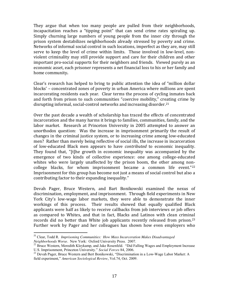They argue that when too many people are pulled from their neighborhoods, incapacitation reaches a "tipping point" that can send crime rates spiraling up. Simply churning large numbers of young people from the inner city through the prison system destabilizes neighborhoods already stressed by poverty and crime. Networks of informal social control in such locations, imperfect as they are, may still serve to keep the level of crime within limits. Those involved in low-level, nonviolent criminality may still provide support and care for their children and other important pro-social supports for their neighbors and friends. Viewed purely as an economic asset, each prisoner represents a net financial loss to his or her family and home community**.** 

Clear's research has helped to bring to public attention the idea of "million dollar blocks' – concentrated zones of poverty in urban America where millions are spent incarcerating residents each year. Clear terms the process of cycling inmates back and forth from prison to such communities "coercive mobility," creating crime by disrupting informal, social-control networks and increasing disorder.21

Over the past decade a wealth of scholarship has traced the effects of concentrated incarceration and the many harms it brings to families, communities, family, and the labor market. Research at Princeton University in 2005 attempted to answer an unorthodox question: Was the increase in imprisonment primarily the result of changes in the criminal justice system, or to increasing crime among low-educated men? Rather than merely being reflective of social ills, the increase in incarceration of low-educated Black men appears to have *contributed* to economic inequality. They found that, "[t]he growth in economic inequality was accompanied by the emergence of two kinds of collective experience: one among college-educated whites who were largely unaffected by the prison boom, the other among noncollege blacks, for whom imprisonment became a common life event."22 Imprisonment for this group has become not just a means of social control but also a contributing factor to their expanding inequality."

Devah Pager, Bruce Western, and Bart Bonikowski examined the nexus of discrimination, employment, and imprisonment. Through field experiments in New York City's low-wage labor markets, they were able to demonstrate the inner workings of this process. Their results showed that equally qualified Black applicants were half as likely to receive callbacks from job interviews or job offers as compared to Whites, and that in fact, Blacks and Latinos with clean criminal records did no better than White job applicants recently released from prison.<sup>23</sup> Further work by Pager and her colleagues has shown how even employers who

<sup>&</sup>lt;sup>21</sup> Clear, Todd R. *Imprisoning Communities: How Mass Incarceration Makes Disadvantaged Neighborhoods Worse. New York: Oxford University Press. 2007.* 

<sup>&</sup>lt;sup>22</sup> Bruce Western, Meredith Kleykamp, and Jake Rosenfeld. "Did Falling Wages and Employment Increase U.S. Imprisonment, Princeton University." *Social Forces* 84, 2006.<br><sup>23</sup> Devah Pager, Bruce Western and Bert Bonikowski, "Discrimination in a Low-Wage Labor Market: A

field experiment," *American Sociological Review*, Vol.74, Oct. 2009.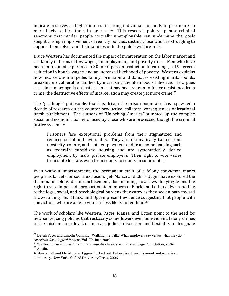indicate in surveys a higher interest in hiring individuals formerly in prison are no more likely to hire them in practice.<sup>24</sup> This research points up how criminal sanctions that render people virtually unemployable can undermine the goals sought through improvement of reentry policies, casting those who are struggling to support themselves and their families onto the public welfare rolls.

Bruce Western has documented the impact of incarceration on the labor market and the family in terms of low wages, unemployment, and poverty rates. Men who have been imprisoned experience a 30 to 40 percent reduction in earnings, a 15 percent reduction in hourly wages, and an increased likelihood of poverty. Western explains how incarceration impedes family formation and damages existing marital bonds, breaking up vulnerable families by increasing the likelihood of divorce. He argues that since marriage is an institution that has been shown to foster desistance from crime, the destructive effects of incarceration may create yet more crime.25

The "get tough" philosophy that has driven the prison boom also has spawned a decade of research on the counter-productive, collateral consequences of irrational harsh punishment. The authors of "Unlocking America" summed up the complex social and economic barriers faced by those who are processed though the criminal justice system.26

Prisoners face exceptional problems from their stigmatized and reduced social and civil status. They are automatically barred from most city, county, and state employment and from some housing such as federally subsidized housing and are systematically denied employment by many private employers. Their right to vote varies from state to state, even from county to county in some states.

Even without imprisonment, the permanent stain of a felony conviction marks people as targets for social exclusion. Jeff Manza and Chris Uggen have explored the dilemma of felony disenfranchisement, documenting how laws denying felons the right to vote impacts disproportionate numbers of Black and Latino citizens, adding to the legal, social, and psychological burdens they carry as they seek a path toward a law-abiding life. Manza and Uggen present evidence suggesting that people with convictions who are able to vote are less likely to reoffend.27

The work of scholars like Western, Pager, Manza, and Uggen point to the need for new sentencing policies that reclassify some lower-level, non-violent, felony crimes to the misdemeanor level, or increase judicial discretion and flexibility to designate

<sup>&</sup>lt;sup>24</sup> Devah Pager and Lincoln Quillian, "Walking the Talk? What employers say versus what they do." *American Sociological Review*, Vol. 70, June 2005.

<sup>&</sup>lt;sup>25</sup> Western, Bruce. *Punishment and Inequality in America.* Russell Sage Foundation, 2006.<br><sup>26</sup> Austin.

<sup>27</sup> Manza, Jeff and Christopher Uggen. Locked out: Felon disenfranchisement and American democracy, New York: Oxford University Press, 2006.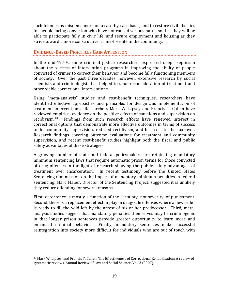such felonies as misdemeanors on a case-by-case basis, and to restore civil liberties for people facing conviction who have not caused serious harm, so that they will be able to participate fully in civic life, and secure employment and housing as they strive toward a more constructive, crime-free life in the community.

## **EVIDENCE-BASED PRACTICES GAIN ATTENTION**

In the mid-1970s, some criminal justice researchers expressed deep skepticism about the success of intervention programs in improving the ability of people convicted of crimes to correct their behavior and become fully functioning members of society. Over the past three decades, however, extensive research by social scientists and criminologists has helped to spur reconsideration of treatment and other viable correctional interventions.

Using "meta-analysis" studies and cost-benefit techniques, researchers have identified effective approaches and principles for design and implementation of treatment interventions. Researchers Mark W. Lipsey and Francis T. Cullen have reviewed empirical evidence on the positive effects of sanctions and supervision on recidivism.28 Findings from such research efforts have renewed interest in correctional options that demonstrate more effective outcomes in terms of success under community supervision, reduced recidivism, and less cost to the taxpayer. Research findings covering outcome evaluations for treatment and community supervision, and recent cost-benefit studies highlight both the fiscal and public safety advantages of these strategies.

A growing number of state and federal policymakers are rethinking mandatory minimum sentencing laws that require automatic prison terms for those convicted of drug offenses in the light of research showing the public safety advantages of treatment over incarceration. In recent testimony before the United States Sentencing Commission on the impact of mandatory minimum penalties in federal sentencing, Marc Mauer, Director of the Sentencing Project, suggested it is unlikely they reduce offending for several reasons.

First, deterrence is mostly a function of the certainty, not severity, of punishment. Second, there is a replacement effect in play in drug-sale offenses where a new seller is ready to fill the void left by the arrest of his or her predecessor. Third, metaanalysis studies suggest that mandatory penalties themselves may be criminogenic in that longer prison sentences provide greater opportunity to learn more and enhanced criminal behavior. Finally, mandatory sentences make successful reintegration into society more difficult for individuals who are out of touch with

<sup>&</sup>lt;sup>28</sup> Mark W. Lipsey, and Francis T. Cullen, The Effectiveness of Correctional Rehabilitation: A review of systematic reviews, Annual Review of Law and Social Science, Vol. 3 (2007).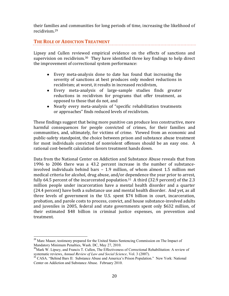their families and communities for long periods of time, increasing the likelihood of recidivism.29

## **THE ROLE OF ADDICTION TREATMENT**

Lipsey and Cullen reviewed empirical evidence on the effects of sanctions and supervision on recidivism.<sup>30</sup> They have identified three key findings to help direct the improvement of correctional system performance:

- Every meta-analysis done to date has found that increasing the severity of sanctions at best produces only modest reductions in recidivism; at worst, it results in increased recidivism,
- Every meta-analysis of large-sample studies finds greater reductions in recidivism for programs that offer treatment, as opposed to those that do not, and
- Nearly every meta-analysis of "specific rehabilitation treatments or approaches" finds reduced levels of recidivism.

These findings suggest that being more punitive can produce less constructive, more harmful consequences for people convicted of crimes, for their families and communities, and, ultimately, for victims of crime. Viewed from an economic and public-safety standpoint, the choice between prison and substance abuse treatment for most individuals convicted of nonviolent offenses should be an easy one. A rational cost-benefit calculation favors treatment hands down.

Data from the National Center on Addiction and Substance Abuse reveals that from 1996 to 2006 there was a 43.2 percent increase in the number of substanceinvolved individuals behind bars – 1.9 million, of whom almost 1.5 million met medical criteria for alcohol, drug abuse, and/or dependence the year prior to arrest, fully 64.5 percent of the incarcerated population.<sup>31</sup> A third (32.9 percent) of the 2.3 million people under incarceration have a mental health disorder and a quarter (24.4 percent) have both a substance use and mental health disorder. And yet, as all three levels of government in the U.S. spent \$74 billion in court, incarceration, probation, and parole costs to process, convict, and house substance-involved adults and juveniles in 2005, federal and state governments spent only \$632 million, of their estimated \$48 billion in criminal justice expenses, on prevention and treatment.

<sup>&</sup>lt;sup>29</sup> Marc Mauer, testimony prepared for the United States Sentencing Commission on The Impact of Mandatory Minimum Penalties, Wash. DC, May 27, 2010.

<sup>&</sup>lt;sup>30</sup>Mark W. Lipsey, and Francis T. Cullen, The Effectiveness of Correctional Rehabilitation: A review of systematic reviews, *Annual Review of Law and Social Science*, Vol. 3 (2007).<br><sup>31</sup> CASA. "Behind Bars II: Substance Abuse and America's Prison Population." New York: National

Center on Addiction and Substance Abuse. February 2010.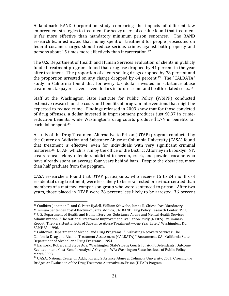A landmark RAND Corporation study comparing the impacts of different law enforcement strategies to treatment for heavy users of cocaine found that treatment is far more effective than mandatory minimum prison sentences. The RAND research team estimated that money spent on treatment for people prosecuted on federal cocaine charges should reduce serious crimes against both property and persons about 15 times more effectively than incarceration.32

The U.S. Department of Health and Human Services evaluation of clients in publicly funded treatment programs found that drug use dropped by 41 percent in the year after treatment. The proportion of clients selling drugs dropped by 78 percent and the proportion arrested on any charge dropped by  $64$  percent.<sup>33</sup> The "CALDATA" study in California found that for every tax dollar invested in substance abuse treatment, taxpayers saved seven dollars in future crime-and health-related costs.34

Staff at the Washington State Institute for Public Policy (WSIPP) conducted extensive research on the costs and benefits of program interventions that might be expected to reduce crime. Findings released in 2003 show that for those convicted of drug offenses, a dollar invested in imprisonment produces just \$0.37 in crimereduction benefits, while Washington's drug courts produce \$1.74 in benefits for each dollar spent.35

A study of the Drug Treatment Alternative to Prison (DTAP) program conducted by the Center on Addiction and Substance Abuse at Columbia University (CASA) found that treatment is effective, even for individuals with very significant criminal histories.<sup>36</sup> DTAP, which is run by the office of the District Attorney in Brooklyn, NY, treats repeat felony offenders addicted to heroin, crack, and powder cocaine who have already spent an average four years behind bars. Despite the obstacles, more than half graduate from the program.

CASA researchers found that DTAP participants, who receive 15 to 24 months of residential drug treatment, were less likely to be re-arrested or re-incarcerated than members of a matched comparison group who were sentenced to prison. After two years, those placed in DTAP were 26 percent less likely to be arrested, 36 percent

 <sup>32</sup> Caulkins, Jonathan P. and C. Peter Rydell, William Schwabe, James R. Chiesa "Are Mandatory Minimum Sentences Cost-Effective?" Santa Monica, CA: RAND Drug Policy Research Center. 1998. <sup>33</sup> U.S. Department of Health and Human Services, Substance Abuse and Mental Health Services Administration. "The National Treatment Improvement Evaluation Study (NTIES) Preliminary Report: The Persistent Effects of Substance Abuse Treatment—One Year Later." Washington, DC: SAMHSA. 1996.

<sup>34</sup> California Department of Alcohol and Drug Programs. "Evaluating Recovery Services: The California Drug and Alcohol Treatment Assessment (CALDATA)." Sacramento, CA: California State Department of Alcohol and Drug Programs. 1994.

<sup>35</sup> Barnoski, Robert and Steve Aos. "Washington State's Drug Courts for Adult Defendants: Outcome Evaluation and Cost-Benefit Analysis." Olympia, WA: Washington State Institute of Public Policy. March 2003.

<sup>&</sup>lt;sup>36</sup> CASA. National Center on Addiction and Substance Abuse at Columbia University. 2003. Crossing the Bridge: An Evaluation of the Drug Treatment Alternative-to-Prison (DTAP) Program.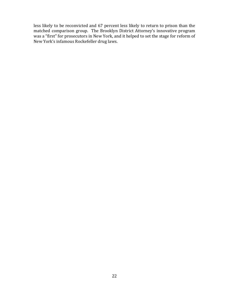less likely to be reconvicted and 67 percent less likely to return to prison than the matched comparison group. The Brooklyn District Attorney's innovative program was a "first" for prosecutors in New York, and it helped to set the stage for reform of New York's infamous Rockefeller drug laws.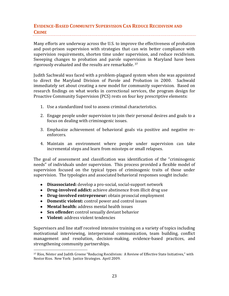## **EVIDENCE-BASED COMMUNITY SUPERVISION CAN REDUCE RECIDIVISM AND CRIME**

Many efforts are underway across the U.S. to improve the effectiveness of probation and post-prison supervision with strategies that can win better compliance with supervision requirements, shorten time under supervision, and reduce recidivism. Sweeping changes to probation and parole supervision in Maryland have been rigorously evaluated and the results are remarkable. 37

Judith Sachwald was faced with a problem-plagued system when she was appointed to direct the Maryland Division of Parole and Probation in 2000. Sachwald immediately set about creating a new model for community supervision. Based on research findings on what works in correctional services, the program design for Proactive Community Supervision (PCS) rests on four key prescriptive elements:

- 1. Use a standardized tool to assess criminal characteristics.
- 2. Engage people under supervision to join their personal desires and goals to a focus on dealing with criminogenic issues.
- 3. Emphasize achievement of behavioral goals via positive and negative reenforcers.
- 4. Maintain an environment where people under supervision can take incremental steps and learn from missteps or small relapses.

The goal of assessment and classification was identification of the "criminogenic needs" of individuals under supervision. This process provided a flexible model of supervision focused on the typical types of criminogenic traits of those under supervision. The typologies and associated behavioral responses sought include:

- **Disassociated:** develop a pro-social, social-support network
- **Drug-involved addict:** achieve abstinence from illicit drug use
- **Drug-involved entrepreneur:** obtain prosocial employment
- **Domestic violent:** control power and control issues
- **Mental health:** address mental health issues
- **Sex offender:** control sexually deviant behavior
- **Violent:** address violent tendencies

Supervisors and line staff received intensive training on a variety of topics including motivational interviewing, interpersonal communication, team building, conflict management and resolution, decision-making, evidence-based practices, and strengthening community partnerships.

 <sup>37</sup> Ríos, Néstor and Judith Greene "Reducing Recidivism: A Review of Effective State Initiatives," with Nestor Rios. New York: Justice Strategies. April 2009.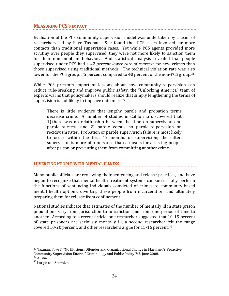## **MEASURING PCS'S IMPACT**

Evaluation of the PCS community supervision model was undertaken by a team of researchers led by Faye Taxman. She found that PCS cases involved far more contacts than traditional supervision cases. Yet while PCS agents provided more scrutiny over people they supervised, they were not more likely to sanction them for their noncompliant behavior. And statistical analysis revealed that people supervised under PCS had a *42 percent lower rate of rearrest* for new crimes than those supervised using traditional methods. The technical violation rate was also lower for the PCS group: 35 percent compared to 40 percent of the non-PCS group.<sup>38</sup>

While PCS presents important lessons about how community supervision can reduce rule-breaking and improve public safety, the "Unlocking America" team of experts warns that policymakers should realize that simply lengthening the terms of supervision is not likely to improve outcomes.<sup>39</sup>

There is little evidence that lengthy parole and probation terms decrease crime. A number of studies in California discovered that 1) there was no relationship between the time on supervision and parole success, and 2) parole versus no parole supervision on recidivism rates. Probation or parole supervision failure is most likely to occur within the first 12 months of supervision; thereafter, supervision is more of a nuisance than a means for assisting people after prison or preventing them from committing another crime.

## **DIVERTING PEOPLE WITH MENTAL ILLNESS**

Many public officials are reviewing their sentencing and release practices, and have begun to recognize that mental health treatment systems can successfully perform the functions of sentencing individuals convicted of crimes to community-based mental health options, diverting these people from incarceration, and ultimately preparing them for release from confinement.

National studies indicate that estimates of the number of mentally ill in state prison populations vary from jurisdiction to jurisdiction and from one period of time to another. According to a recent article, one researcher suggested that 10-15 percent of state prisoners are seriously mentally ill, a second researcher felt the range covered 10-20 percent, and other researchers argue for 15-16 percent.40

 <sup>38</sup> Taxman, Faye S. "No Illusions: Offender and Organizational Change in Maryland's Proactive Community Supervision Efforts." Criminology and Public Policy 7:2, June 2008.

<sup>&</sup>lt;sup>39</sup> Austin.

<sup>40</sup> Lurgio and Snowden.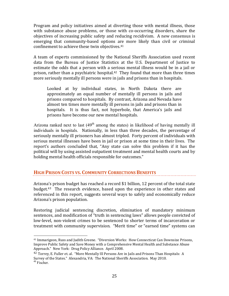Program and policy initiatives aimed at diverting those with mental illness, those with substance abuse problems, or those with co-occurring disorders, share the objectives of increasing public safety and reducing recidivism. A new consensus is emerging that community-based options are more likely than civil or criminal confinement to achieve these twin objectives.41

A team of experts commissioned by the National Sheriffs Association used recent data from the Bureau of Justice Statistics at the U.S. Department of Justice to estimate the odds that a person with a serious mental illness would be in a jail or prison, rather than a psychiatric hospital.<sup>42</sup> They found that more than three times more seriously mentally ill persons were in jails and prisons than in hospitals.

Looked at by individual states, in North Dakota there are approximately an equal number of mentally ill persons in jails and prisons compared to hospitals. By contrast, Arizona and Nevada have almost ten times more mentally ill persons in jails and prisons than in hospitals. It is thus fact, not hyperbole, that America's jails and prisons have become our new mental hospitals.

Arizona ranked next to last (49<sup>th</sup> among the states) in likelihood of having mentally ill individuals in hospitals. Nationally, in less than three decades, the percentage of seriously mentally ill prisoners has almost tripled. Forty percent of individuals with serious mental illnesses have been in jail or prison at some time in their lives. The report's authors concluded that, "Any state can solve this problem if it has the political will by using assisted outpatient treatment and mental health courts and by holding mental health officials responsible for outcomes."

## **HIGH PRISON COSTS VS. COMMUNITY CORRECTIONS BENEFITS**

Arizona's prison budget has reached a record \$1 billion, 12 percent of the total state budget.43 The research evidence, based upon the experience in other states and referenced in this report, suggests several ways to safely and economically reduce Arizona's prison population.

Restoring judicial sentencing discretion, elimination of mandatory minimum sentences, and modification of "truth in sentencing laws" allows people convicted of low-level, non-violent crimes to be sentenced to shorter terms of incarceration or treatment with community supervision. "Merit time" or "earned time" systems can

 <sup>41</sup> Immarigeon, Russ and Judith Greene. "Diversion Works: How Connecticut Can Downsize Prisons, Improve Public Safety and Save Money with a Comprehensive Mental Health and Substance Abuse Approach." New York: Drug Policy Alliance. April 2008.

<sup>42</sup> Torrey, E. Fuller et. al. "More Mentally Ill Persons Are in Jails and Prisons Than Hospitals: A Survey of the States." Alexandria, VA: The National Sheriffs Association. May 2010. <sup>43</sup> Fischer.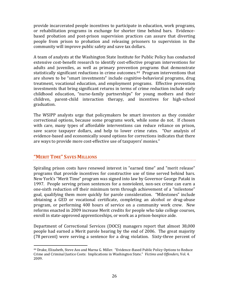provide incarcerated people incentives to participate in education, work programs, or rehabilitation programs in exchange for shorter time behind bars. Evidencebased probation and post-prison supervision practices can assure that diverting people from prison to probation and releasing prisoners to supervision in the community will improve public safety and save tax dollars.

A team of analysts at the Washington State Institute for Public Policy has conducted extensive cost-benefit research to identify cost-effective program interventions for adults and juveniles, as well as primary prevention programs that demonstrate statistically significant reductions in crime outcomes.<sup>44</sup> Program interventions that are shown to be "smart investments" include cognitive-behavioral programs, drug treatment, vocational education, and employment programs. Effective prevention investments that bring significant returns in terms of crime reduction include early childhood education, "nurse-family partnerships" for young mothers and their children, parent-child interaction therapy, and incentives for high-school graduation.

The WSIPP analysts urge that policymakers be smart investors as they consider correctional options, because some programs work, while some do not. If chosen with care, many types of affordable interventions can reduce reliance on prison, save scarce taxpayer dollars, and help to lower crime rates. "Our analysis of evidence-based and economically sound options for corrections indicates that there are ways to provide more cost-effective use of taxpayers' monies."

## **"MERIT TIME" SAVES MILLIONS**

Spiraling prison costs have renewed interest in "earned time" and "merit release" programs that provide incentives for constructive use of time served behind bars. New York's "Merit Time" program was signed into law by Governor George Pataki in 1997. People serving prison sentences for a nonviolent, non-sex crime can earn a one-sixth reduction off their minimum term through achievement of a "milestone" goal, qualifying them more quickly for parole consideration. "Milestones" include obtaining a GED or vocational certificate, completing an alcohol or drug-abuse program, or performing 400 hours of service on a community work crew. New reforms enacted in 2009 increase Merit credits for people who take college courses, enroll in state-approved apprenticeships, or work as a prison-hospice aide.

Department of Correctional Services (DOCS) managers report that almost 38,000 people had earned a Merit parole hearing by the end of 2006. The great majority (78 percent) were serving a sentence for a drug violation. Sixty-three percent of

 <sup>44</sup> Drake, Elizabeth, Steve Aos and Marna G. Miller. "Evidence-Based Public Policy Options to Reduce Crime and Criminal Justice Costs: Implications in Washington State." *Victims and Offenders,* Vol. 4. 2009.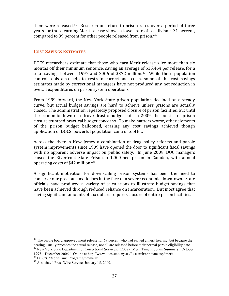them were released.45 Research on return-to-prison rates over a period of three years for those earning Merit release shows a lower rate of recidivism: 31 percent, compared to 39 percent for other people released from prison.46

## **COST SAVINGS ESTIMATES**

DOCS researchers estimate that those who earn Merit release slice more than six months off their minimum sentence, saving an average of \$15,464 per release, for a total savings between 1997 and 2006 of \$372 million. <sup>47</sup> While these population control tools also help to restrain correctional costs, some of the cost savings estimates made by correctional managers have not produced any net reduction in overall expenditures on prison system operations.

From 1999 forward, the New York State prison population declined on a steady curve, but actual budget savings are hard to achieve unless prisons are actually closed. The administration repeatedly proposed closure of prison facilities, but until the economic downturn drove drastic budget cuts in 2009, the politics of prison closure trumped practical budget concerns. To make matters worse, other elements of the prison budget ballooned, erasing any cost savings achieved though application of DOCS' powerful population control tool kit.

Across the river in New Jersey a combination of drug policy reforms and parole system improvements since 1999 have opened the door to significant fiscal savings with no apparent adverse impact on public safety. In June 2009, DOC managers closed the Riverfront State Prison, a 1,000-bed prison in Camden, with annual operating costs of \$42 million.48

A significant motivation for downscaling prison systems has been the need to conserve our precious tax dollars in the face of a severe economic downtown. State officials have produced a variety of calculations to illustrate budget savings that have been achieved through reduced reliance on incarceration. But most agree that saving significant amounts of tax dollars requires closure of entire prison facilities.

<sup>&</sup>lt;sup>45</sup> The parole board approved merit release for 69 percent who had earned a merit hearing, but because the hearing usually precedes the actual release, not all are released before their normal parole eligibility date.

<sup>46</sup> New York State Department of Correctional Services. (2007) "Merit Time Program Summary: October 1997 – December 2006." Online at http://www.docs.state.ny.us/Research/annotate.asp#merit

<sup>&</sup>lt;sup>47</sup> DOCS. "Merit Time Program Summary"

<sup>48</sup> Associated Press Wire Service, January 15, 2009.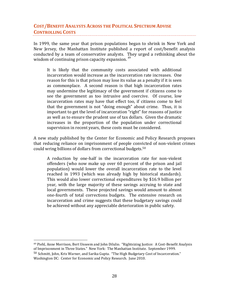## **COST/BENEFIT ANALYSTS ACROSS THE POLITICAL SPECTRUM ADVISE CONTROLLING COSTS**

In 1999, the same year that prison populations began to shrink in New York and New Jersey, the Manhattan Institute published a report of cost/benefit analysis conducted by a team of conservative analysts. They urged a rethinking about the wisdom of continuing prison capacity expansion.<sup>49</sup>

It is likely that the community costs associated with additional incarceration would increase as the incarceration rate increases. One reason for this is that prison may lose its value as a penalty if it is seen as commonplace. A second reason is that high incarceration rates may undermine the legitimacy of the government if citizens come to see the government as too intrusive and coercive. Of course, low incarceration rates may have that effect too, if citizens come to feel that the government is not "doing enough" about crime. Thus, it is important to get the level of incarceration "right" for reasons of justice as well as to ensure the prudent use of tax dollars. Given the dramatic increases in the proportion of the population under correctional supervision in recent years, these costs must be considered.

A new study published by the Center for Economic and Policy Research proposes that reducing reliance on imprisonment of people convicted of non-violent crimes could wring billions of dollars from correctional budgets.50

A reduction by one-half in the incarceration rate for non-violent offenders (who now make up over 60 percent of the prison and jail population) would lower the overall incarceration rate to the level reached in 1993 (which was already high by historical standards). This would also lower correctional expenditures by \$16.9 billion per year, with the large majority of these savings accruing to state and local governments. These projected savings would amount to almost one-fourth of total corrections budgets. The extensive research on incarceration and crime suggests that these budgetary savings could be achieved without any appreciable deterioration in public safety.

 49 Piehl, Anne Morrison, Bert Unseem and John Dilulio. "Rightsizing Justice: A Cost-Benefit Analysis of Imprisonment in Three States." New York: The Manhattan Institute. September 1999.  $50$  Schmitt, John, Kris Warner, and Sarika Gupta. "The High Budgetary Cost of Incarceration." Washington DC: Center for Economic and Policy Research. June 2010.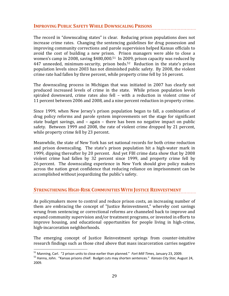## **IMPROVING PUBLIC SAFETY WHILE DOWNSCALING PRISONS**

The record in "downscaling states" is clear. Reducing prison populations does not increase crime rates. Changing the sentencing guidelines for drug possession and improving community corrections and parole supervision helped Kansas officials to avoid the cost of building a new prison. Prison managers were able to close a women's camp in 2008, saving \$480,000.51 In 2009, prison capacity was reduced by 447 unneeded, minimum-security, prison beds.<sup>52</sup> Reduction in the state's prison population levels since 2003 has not diminished public safety. By 2008, the violent crime rate had fallen by three percent, while property crime fell by 16 percent.

The downscaling process in Michigan that was initiated in 2007 has clearly not produced increased levels of crime in the state. While prison population levels spiraled downward, crime rates also fell – with a reduction in violent crime of 11 percent between 2006 and 2008, and a nine percent reduction in property crime.

Since 1999, when New Jersey's prison population began to fall, a combination of drug policy reforms and parole system improvements set the stage for significant state budget savings, and – again – there has been no negative impact on public safety. Between 1999 and 2008, the rate of violent crime dropped by 21 percent, while property crime fell by 23 percent.

Meanwhile, the state of New York has set national records for both crime reduction and prison downscaling. The state's prison population hit a high-water mark in 1999, dipping thereafter by 20 percent. And yet FBI crime data show that by 2008 violent crime had fallen by 32 percent since 1999, and property crime fell by 26 percent. The downscaling experience in New York should give policy makers across the nation great confidence that reducing reliance on imprisonment can be accomplished without jeopardizing the public's safety.

## **STRENGTHENING HIGH-RISK COMMUNITIES WITH JUSTICE REINVESTMENT**

As policymakers move to control and reduce prison costs, an increasing number of them are embracing the concept of "Justice Reinvestment," whereby cost savings wrung from sentencing or correctional reforms are channeled back to improve and expand community supervision and/or treatment programs, or invested in efforts to improve housing, and educational opportunities for people living in high-crime, high-incarceration neighborhoods.

The emerging concept of Justice Reinvestment springs from counter-intuitive research findings such as those cited above that mass incarceration carries negative

<sup>&</sup>lt;sup>51</sup> Manning, Carl. "2 prison units to close earlier than planned." *Fort Mill Times, January 23, 2009.*<br><sup>52</sup> Hanna, John. "Kansas prisons chief: Budget cuts may shorten sentences." *Kansas City Star, August 24*, 2009.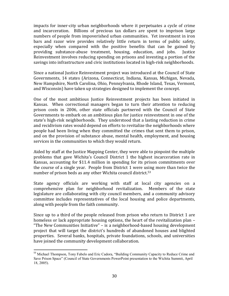impacts for inner-city urban neighborhoods where it perpetuates a cycle of crime and incarceration. Billions of precious tax dollars are spent to imprison large numbers of people from impoverished urban communities. Yet investment in iron bars and razor wire provides relatively little return in terms of public safety, especially when compared with the positive benefits that can be gained by providing substance-abuse treatment, housing, education, and jobs. Justice Reinvestment involves reducing spending on prisons and investing a portion of the savings into infrastructure and civic institutions located in high-risk neighborhoods.

Since a national Justice Reinvestment project was introduced at the Council of State Governments, 14 states (Arizona, Connecticut, Indiana, Kansas, Michigan, Nevada, New Hampshire, North Carolina, Ohio, Pennsylvania, Rhode Island, Texas, Vermont, and Wisconsin) have taken up strategies designed to implement the concept.

One of the most ambitious Justice Reinvestment projects has been initiated in Kansas. When correctional managers began to turn their attention to reducing prison costs in 2006, other state officials partnered with the Council of State Governments to embark on an ambitious plan for justice reinvestment in one of the state's high-risk neighborhoods. They understood that a lasting reduction in crime and recidivism rates would depend on efforts to revitalize the neighborhoods where people had been living when they committed the crimes that sent them to prison, and on the provision of substance abuse, mental health, employment, and housing services in the communities to which they would return.

Aided by staff at the Justice Mapping Center, they were able to pinpoint the multiple problems that gave Wichita's Council District 1 the highest incarceration rate in Kansas, accounting for \$11.4 million in spending for its prison commitments over the course of a single year. People from District 1 were using more than twice the number of prison beds as any other Wichita council district.<sup>53</sup>

State agency officials are working with staff at local city agencies on a comprehensive plan for neighborhood revitalization. Members of the state legislature are collaborating with city council members, and a community advisory committee includes representatives of the local housing and police departments, along with people from the faith community.

Since up to a third of the people released from prison who return to District 1 are homeless or lack appropriate housing options, the heart of the revitalization plan – "The New Communities Initiative" – is a neighborhood-based housing development project that will target the district's hundreds of abandoned houses and blighted properties. Several banks, hospitals, private foundations, schools, and universities have joined the community development collaboration.

l

<sup>&</sup>lt;sup>53</sup> Michael Thompson, Tony Fabelo and Eric Cadora, "Building Community Capacity to Reduce Crime and Save Prison Space" (Council of State Governments PowerPoint presentation to the Wichita Summit, April 18, 2005).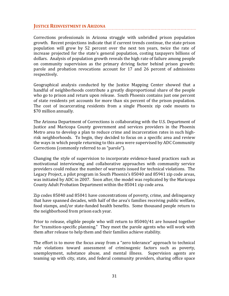## **JUSTICE REINVESTMENT IN ARIZONA**

Corrections professionals in Arizona struggle with unbridled prison population growth. Recent projections indicate that if current trends continue, the state prison population will grow by 52 percent over the next ten years, twice the rate of increase projected for the state's general population, costing taxpayers billions of dollars. Analysis of population growth reveals the high rate of failure among people on community supervision as the primary driving factor behind prison growth: parole and probation revocations account for 17 and 26 percent of admissions respectively.

Geographical analysis conducted by the Justice Mapping Center showed that a handful of neighborhoods contribute a greatly disproportional share of the people who go to prison and return upon release. South Phoenix contains just one percent of state residents yet accounts for more than six percent of the prison population. The cost of incarcerating residents from a single Phoenix zip code mounts to \$70 million annually.

The Arizona Department of Corrections is collaborating with the U.S. Department of Justice and Maricopa County government and services providers in the Phoenix Metro area to develop a plan to reduce crime and incarceration rates in such highrisk neighborhoods. To begin, they decided to focus on a specific area and review the ways in which people returning to this area were supervised by ADC Community Corrections (commonly referred to as "parole").

Changing the style of supervision to incorporate evidence-based practices such as motivational interviewing and collaborative approaches with community service providers could reduce the number of warrants issued for technical violations. The Legacy Project, a pilot program in South Phoenix's 85040 and 85941 zip code areas, was initiated by ADC in 2007. Soon after, the model was replicated by the Maricopa County Adult Probation Department within the 85041 zip code area.

Zip codes 85040 and 85041 have concentrations of poverty, crime, and delinquency that have spanned decades, with half of the area's families receiving public welfare, food stamps, and/or state-funded health benefits. Some thousand people return to the neighborhood from prison each year.

Prior to release, eligible people who will return to 85040/41 are housed together for "transition-specific planning." They meet the parole agents who will work with them after release to help them and their families achieve stability.

The effort is to move the focus away from a "zero tolerance" approach to technical rule violations toward assessment of criminogenic factors such as poverty, unemployment, substance abuse, and mental illness. Supervision agents are teaming up with city, state, and federal community providers, sharing office space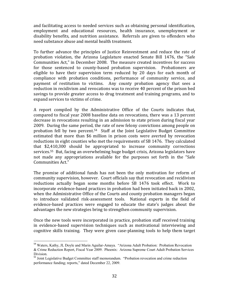and facilitating access to needed services such as obtaining personal identification, employment and educational resources, health insurance, unemployment or disability benefits, and nutrition assistance. Referrals are given to offenders who need substance abuse and mental health treatment.

To further advance the principles of Justice Reinvestment and reduce the rate of probation violation, the Arizona Legislature enacted Senate Bill 1476, the "Safe Communities Act," in December 2008. The measure created incentives for success for those sentenced to county-based probation supervision. Probationers are eligible to have their supervision term reduced by 20 days for each month of compliance with probation conditions, performance of community service, and payment of restitution to victims. Any county probation agency that sees a reduction in recidivism and revocations was to receive 40 percent of the prison bed savings to provide greater access to drug treatment and training programs, and to expand services to victims of crime.

A report compiled by the Administrative Office of the Courts indicates that, compared to fiscal year 2008 baseline data on revocations, there was a 13 percent decrease in revocations resulting in an admission to state prison during fiscal year 2009. During the same period, the rate of new felony convictions among people on probation fell by two percent.54 Staff at the Joint Legislative Budget Committee estimated that more than \$6 million in prison costs were averted by revocation reductions in eight counties who met the requirements of SB 1476. They calculated that \$2,410,300 should be appropriated to increase community corrections services.55 But, facing an overwhelming huge budget crisis, Arizona legislators have not made any appropriations available for the purposes set forth in the "Safe Communities Act."

The promise of additional funds has not been the only motivation for reform of community supervision, however. Court officials say that revocation and recidivism reductions actually began some months before SB 1476 took effect. Work to incorporate evidence-based practices in probation had been initiated back in 2002, when the Administrative Office of the Courts and county probation managers began to introduce validated risk-assessment tools. National experts in the field of evidence-based practices were engaged to educate the state's judges about the advantages the new strategies bring to strengthen community supervision.

Once the new tools were incorporated in practice, probation staff received training in evidence-based supervision techniques such as motivational interviewing and cognitive skills training. They were given case-planning tools to help them target

<sup>54</sup> Waters, Kathy, JL Doyle and Marin Aguilar-Amaya. "Arizona Adult Probation: Probation Revocation & Crime Reduction Report, Fiscal Year 2009. Phoenix: Arizona Supreme Court Adult Probation Services Division.

<sup>&</sup>lt;sup>55</sup> Joint Legislative Budget Committee staff memorandum. "Probation revocation and crime reduction performance funding; reports," dated December 22, 2009.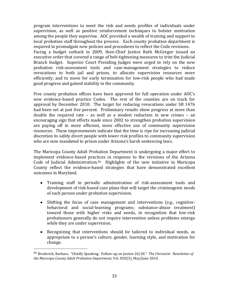program interventions to meet the risk and needs profiles of individuals under supervision, as well as positive reinforcement techniques to bolster motivation among the people they supervise. AOC provided a wealth of training and support to local probation staff throughout the process. Each county probation department is required to promulgate new policies and procedures to reflect the Code revisions. Facing a budget cutback in 2009, then-Chief Justice Ruth McGregor issued an executive order that covered a range of belt-tightening measures to trim the Judicial Branch budget. Superior Court Presiding Judges were urged to rely on the new probation risk-assessment tools and case-management strategies to reduce revocations to both jail and prison, to allocate supervision resources more efficiently, and to move for early termination for low-risk people who had made good progress and gained stability in the community.

Five county probation offices have been approved for full operation under AOC's new evidence-based practice Codes. The rest of the counties are on track for approval by December 2010. The target for reducing revocations under SB 1476 had been set at just five percent. Preliminary results show progress at more than double the required rate – as well as a modest reduction in new crimes – an encouraging sign that efforts made since 2002 to strengthen probation supervision are paying off in more efficient, more effective use of community supervision resources. These improvements indicate that the time is ripe for increasing judicial discretion to safely divert people with lower risk profiles to community supervision who are now mandated to prison under Arizona's harsh sentencing laws.

The Maricopa County Adult Probation Department is undergoing a major effort to implement evidence-based practices in response to the revisions of the Arizona Code of Judicial Administration.56 Highlights of the new initiative in Maricopa County reflect the evidence-based strategies that have demonstrated excellent outcomes in Maryland.

- Training staff in periodic administration of risk-assessment tools and development of risk-based case plans that will target the criminogenic needs of each person under probation supervision.
- Shifting the focus of case management and interventions (e.g., cognitivebehavioral and social-learning programs; substance-abuse treatment) toward those with higher risks and needs, in recognition that low-risk probationers generally do not require intervention unless problems emerge while they are under supervision.
- Recognizing that interventions should be tailored to individual needs, as appropriate to a person's culture, gender, learning style, and motivation for change.

 <sup>56</sup> Broderick, Barbara. "Chiefly Speaking: Follow-up on Justice 20/20." *The Chronicle: Newsletter of the Maricopa County Adult Probation Department*, Vol. XXII(3), May/June 2010.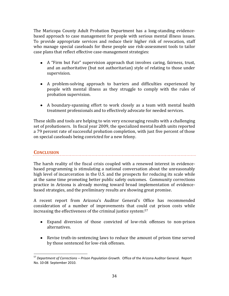The Maricopa County Adult Probation Department has a long-standing evidencebased approach to case management for people with serious mental illness issues. To provide appropriate services and reduce their higher risk of revocation, staff who manage special caseloads for these people use risk-assessment tools to tailor case plans that reflect effective case-management strategies:

- A "Firm but Fair" supervision approach that involves caring, fairness, trust, and an authoritative (but not authoritarian) style of relating to those under supervision.
- A problem-solving approach to barriers and difficulties experienced by people with mental illness as they struggle to comply with the rules of probation supervision.
- A boundary-spanning effort to work closely as a team with mental health treatment professionals and to effectively advocate for needed services.

These skills and tools are helping to win very encouraging results with a challenging set of probationers. In fiscal year 2009, the specialized mental health units reported a 79 percent rate of successful probation completion, with just five percent of those on special caseloads being convicted for a new felony.

## **CONCLUSION**

 $\overline{\phantom{a}}$ 

The harsh reality of the fiscal crisis coupled with a renewed interest in evidencebased programming is stimulating a national conversation about the unreasonably high level of incarceration in the U.S. and the prospects for reducing its scale while at the same time promoting better public safety outcomes. Community corrections practice in Arizona is already moving toward broad implementation of evidencebased strategies, and the preliminary results are showing great promise.

A recent report from Arizona's Auditor General's Office has recommended consideration of a number of improvements that could cut prison costs while increasing the effectiveness of the criminal justice system:57

- Expand diversion of those convicted of low-risk offenses to non-prison alternatives.
- Revise truth-in-sentencing laws to reduce the amount of prison time served by those sentenced for low-risk offenses.

<sup>57</sup> *Department of Corrections – Prison Population Growth.* Office of the Arizona Auditor General. Report No. 10-08 September 2010.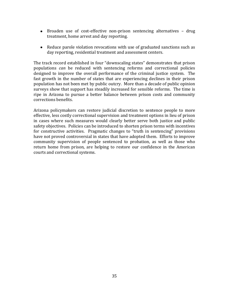- Broaden use of cost-effective non-prison sentencing alternatives drug treatment, home arrest and day reporting.
- Reduce parole violation revocations with use of graduated sanctions such as day reporting, residential treatment and assessment centers.

The track record established in four "downscaling states" demonstrates that prison populations *can* be reduced with sentencing reforms and correctional policies designed to improve the overall performance of the criminal justice system. The fast growth in the number of states that are experiencing declines in their prison population has not been met by public outcry. More than a decade of public opinion surveys show that support has steadily increased for sensible reforms. The time is ripe in Arizona to pursue a better balance between prison costs and community corrections benefits.

Arizona policymakers can restore judicial discretion to sentence people to more effective, less costly correctional supervision and treatment options in lieu of prison in cases where such measures would clearly better serve both justice and public safety objectives. Policies can be introduced to shorten prison terms with incentives for constructive activities. Pragmatic changes to "truth in sentencing" provisions have not proved controversial in states that have adopted them. Efforts to improve community supervision of people sentenced to probation, as well as those who return home from prison, are helping to restore our confidence in the American courts and correctional systems.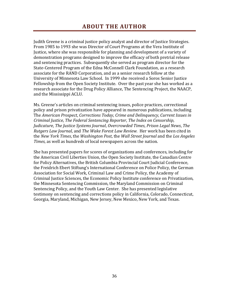Judith Greene is a criminal justice policy analyst and director of Justice Strategies. From 1985 to 1993 she was Director of Court Programs at the Vera Institute of Justice, where she was responsible for planning and development of a variety of demonstration programs designed to improve the efficacy of both pretrial release and sentencing practices. Subsequently she served as program director for the State-Centered Program of the Edna McConnell Clark Foundation, as a research associate for the RAND Corporation, and as a senior research fellow at the University of Minnesota Law School. In 1999 she received a Soros Senior Justice Fellowship from the Open Society Institute. Over the past year she has worked as a research associate for the Drug Policy Alliance, The Sentencing Project, the NAACP, and the Mississippi ACLU.

Ms. Greene's articles on criminal sentencing issues, police practices, correctional policy and prison privatization have appeared in numerous publications, including The *American Prospect*, *Corrections Today*, *Crime and Delinquency*, *Current Issues in Criminal Justice*, *The Federal Sentencing Reporter*, *The Index on Censorship*, *Judicature*, *The Justice Systems Journal*, *Overcrowded Times*, *Prison Legal News*, *The Rutgers Law Journal*, and *The Wake Forest Law Review.* Her work has been cited in the *New York Times*, the *Washington Post*, the *Wall Street Journal* and the *Los Angeles Times*, as well as hundreds of local newspapers across the nation.

She has presented papers for scores of organizations and conferences, including for the American Civil Liberties Union, the Open Society Institute, the Canadian Centre for Policy Alternatives, the British Columbia Provincial Court Judicial Conference, the Freidrich Ebert Stiftung's International Conference on Police Policy, the German Association for Social Work, Criminal Law and Crime Policy, the Academy of Criminal Justice Sciences, the Economic Policy Institute conference on Privatization, the Minnesota Sentencing Commission, the Maryland Commission on Criminal Sentencing Policy, and the Youth Law Center. She has presented legislative testimony on sentencing and corrections policy in California, Colorado, Connecticut, Georgia, Maryland, Michigan, New Jersey, New Mexico, New York, and Texas.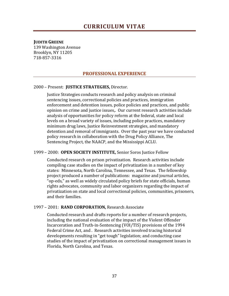#### **JUDITH GREENE**

139 Washington Avenue Brooklyn, NY 11205 718-857-3316

## **PROFESSIONAL EXPERIENCE**

#### 2000 – Present: **JUSTICE STRATEGIES,** Director.

Justice Strategies conducts research and policy analysis on criminal sentencing issues, correctional policies and practices, immigration enforcement and detention issues, police policies and practices, and public opinion on crime and justice issues,. Our current research activities include analysis of opportunities for policy reform at the federal, state and local levels on a broad variety of issues, including police practices, mandatory minimum drug laws, Justice Reinvestment strategies, and mandatory detention and removal of immigrants. Over the past year we have conducted policy research in collaboration with the Drug Policy Alliance, The Sentencing Project, the NAACP, and the Mississippi ACLU.

#### 1999 – 2000: **OPEN SOCIETY INSTITUTE,** Senior Soros Justice Fellow

Conducted research on prison privatization. Research activities include compiling case studies on the impact of privatization in a number of key states: Minnesota, North Carolina, Tennessee, and Texas. The fellowship project produced a number of publications: magazine and journal articles, "op-eds," as well as widely circulated policy briefs for state officials, human rights advocates, community and labor organizers regarding the impact of privatization on state and local correctional policies, communities, prisoners, and their families.

#### 1997 – 2001: **RAND CORPORATION,** Research Associate

Conducted research and drafts reports for a number of research projects, including the national evaluation of the impact of the Violent Offender Incarceration and Truth-in-Sentencing (VOI/TIS) provisions of the 1994 Federal Crime Act, and . Research activities involved tracing historical developments resulting in "get tough" legislation; and conducting case studies of the impact of privatization on correctional management issues in Florida, North Carolina, and Texas.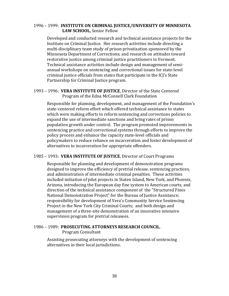#### 1996 – 1999: **INSTITUTE ON CRIMINAL JUSTICE/UNIVERSITY OF MINNESOTA LAW SCHOOL,** Senior Fellow

Developed and conducted research and technical assistance projects for the Institute on Criminal Justice. Her research activities include directing a multi-disciplinary team study of prison privatization sponsored by the Minnesota Department of Corrections; and research on attitudes toward restorative justice among criminal justice practitioners in Vermont. Technical assistance activities include design and management of semiannual workshops on sentencing and correctional issues for state-level criminal justice officials from states that participate in the ICJ's State Partnership for Criminal Justice program.

#### 1993 – 1996: **VERA INSTITUTE OF JUSTICE**, Director of the State Centered Program of the Edna McConnell Clark Foundation

Responsible for planning, development, and management of the Foundation's state-centered reform effort which offered technical assistance to states which were making efforts to reform sentencing and corrections policies to expand the use of intermediate sanctions and bring rates of prison population growth under control. The program promoted improvements in sentencing practice and correctional systems through efforts to improve the policy process and enhance the capacity state-level officials and policymakers to reduce reliance on incarceration and foster development of alternatives to incarceration for appropriate offenders.

## 1985 – 1993: **VERA INSTITUTE OF JUSTICE**, Director of Court Programs

Responsible for planning and development of demonstration programs designed to improve the efficiency of pretrial release, sentencing practices, and administration of intermediate criminal penalties. These activities included initiation of pilot projects in Staten Island, New York, and Phoenix, Arizona, introducing the European day fine system to American courts, and direction of the technical assistance component of the "Structured Fines National Demonstration Project" for the Bureau of Justice Assistance; responsibility for development of Vera's Community Service Sentencing Project in the New York City Criminal Courts; and both design and management of a three-site demonstration of an innovative intensive supervision program for pretrial releasees.

#### 1986 – 1989: **PROSECUTING ATTORNEYS RESEARCH COUNCIL**, Program Consultant

Assisting prosecuting attorneys with the development of sentencing alternatives in their local jurisdictions.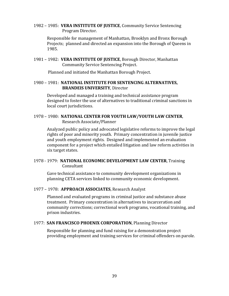1982 – 1985: **VERA INSTITUTE OF JUSTICE**, Community Service Sentencing Program Director.

Responsible for management of Manhattan, Brooklyn and Bronx Borough Projects; planned and directed an expansion into the Borough of Queens in 1985.

1981 – 1982: **VERA INSTITUTE OF JUSTICE**, Borough Director, Manhattan Community Service Sentencing Project.

Planned and initiated the Manhattan Borough Project.

#### 1980 – 1981: **NATIONAL INSTITUTE FOR SENTENCING ALTERNATIVES, BRANDEIS UNIVERSITY**, Director

Developed and managed a training and technical assistance program designed to foster the use of alternatives to traditional criminal sanctions in local court jurisdictions.

#### 1978 – 1980: **NATIONAL CENTER FOR YOUTH LAW/YOUTH LAW CENTER**, Research Associate/Planner

Analyzed public policy and advocated legislative reforms to improve the legal rights of poor and minority youth. Primary concentration in juvenile justice and youth employment rights. Designed and implemented an evaluation component for a project which entailed litigation and law reform activities in six target states.

## 1978 - 1979: **NATIONAL ECONOMIC DEVELOPMENT LAW CENTER**, Training **Consultant**

Gave technical assistance to community development organizations in planning CETA services linked to community economic development.

#### 1977 – 1978: **APPROACH ASSOCIATES**, Research Analyst

Planned and evaluated programs in criminal justice and substance abuse treatment. Primary concentration in alternatives to incarceration and community corrections; correctional work programs, vocational training, and prison industries.

#### 1977: **SAN FRANCISCO PHOENIX CORPORATION**, Planning Director

Responsible for planning and fund raising for a demonstration project providing employment and training services for criminal offenders on parole.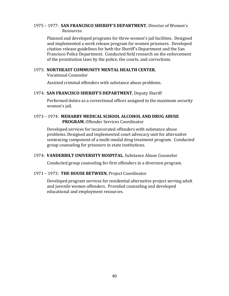#### 1975 – 1977: **SAN FRANCISCO SHERIFF'S DEPARTMENT**, Director of Women's Resources

Planned and developed programs for three women's jail facilities. Designed and implemented a work release program for women prisoners. Developed citation release guidelines for both the Sheriff's Department and the San Francisco Police Department. Conducted field research on the enforcement of the prostitution laws by the police, the courts, and corrections.

#### 1975: **NORTHEAST COMMUNITY MENTAL HEALTH CENTER**,

Vocational Counselor

Assisted criminal offenders with substance abuse problems.

#### 1974: **SAN FRANCISCO SHERIFF'S DEPARTMENT**, Deputy Sheriff

Performed duties as a correctional officer assigned to the maximum security women's jail.

#### 1973 – 1974: **MEHARRY MEDICAL SCHOOL ALCOHOL AND DRUG ABUSE PROGRAM**, Offender Services Coordinator

Developed services for incarcerated offenders with substance abuse problems. Designed and implemented court advocacy unit for alternative sentencing component of a multi-modal drug treatment program. Conducted group counseling for prisoners in state institutions.

#### 1974: **VANDERBILT UNIVERSITY HOSPITAL**, Substance Abuse Counselor

Conducted group counseling for first offenders in a diversion program.

#### 1971 – 1973: **THE HOUSE BETWEEN**, Project Coordinator

Developed program services for residential alternative project serving adult and juvenile women offenders. Provided counseling and developed educational and employment resources.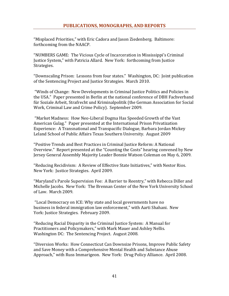"Misplaced Priorities," with Eric Cadora and Jason Ziedenberg. Baltimore: forthcoming from the NAACP.

"NUMBERS GAME: The Vicious Cycle of Incarceration in Mississippi's Criminal Justice System," with Patricia Allard. New York: forthcoming from Justice Strategies.

"Downscaling Prison: Lessons from four states." Washington, DC: Joint publication of the Sentencing Project and Justice Strategies. March 2010.

"Winds of Change: New Developments in Criminal Justice Politics and Policies in the USA." Paper presented in Berlin at the national conference of DBH Fachverband für Soziale Arbeit, Strafrecht und Kriminalpolitik (the German Association for Social Work, Criminal Law and Crime Policy). September 2009.

"Market Madness: How Neo-Liberal Dogma Has Speeded Growth of the Vast American Gulag." Paper presented at the International Prison Privatization Experience: A Transnational and Transpacific Dialogue, Barbara Jordan Mickey Leland School of Public Affairs Texas Southern University. August 2009

"Positive Trends and Best Practices in Criminal Justice Reform: A National Overview." Report presented at the "Counting the Costs" hearing convened by New Jersey General Assembly Majority Leader Bonnie Watson Coleman on May 6, 2009.

"Reducing Recidivism: A Review of Effective State Initiatives," with Nestor Rios. New York: Justice Strategies. April 2009.

"Maryland's Parole Supervision Fee: A Barrier to Reentry," with Rebecca Diller and Michelle Jacobs. New York: The Brennan Center of the New York University School of Law. March 2009.

"Local Democracy on ICE: Why state and local governments have no business in federal immigration law enforcement," with Aarti Shahani. New York: Justice Strategies. February 2009.

"Reducing Racial Disparity in the Criminal Justice System: A Manual for Practitioners and Policymakers," with Mark Mauer and Ashley Nellis. Washington DC: The Sentencing Project. August 2008.

"Diversion Works: How Connecticut Can Downsize Prisons, Improve Public Safety and Save Money with a Comprehensive Mental Health and Substance Abuse Approach," with Russ Immarigeon. New York: Drug Policy Alliance. April 2008.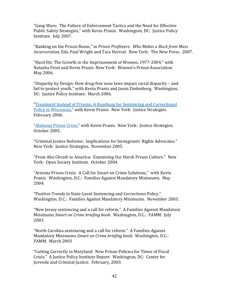"Gang Wars: The Failure of Enforcement Tactics and the Need for Effective Public Safety Strategies," with Kevin Pranis. Washington, DC: Justice Policy Institute. July 2007.

"Banking on the Prison Boom," in *Prison Profiteers: Who Makes a Buck from Mass Incarceration,* Eds, Paul Wright and Tara Herival. New York: The New Press. 2007.

"Hard Hit: The Growth in the Imprisonment of Women, 1977-2004," with Natasha Frost and Kevin Pranis New York: Women's Prison Association. May 2006.

"Disparity by Design: How drug-free zone laws impact racial disparity – and fail to protect youth," with Kevin Pranis and Jason Ziedenberg. Washington, DC: Justice Policy Institute. March 2006.

"Treatment Instead of Prisons: A Roadmap for Sentencing and Correctional Policy in Wisconsin," with Kevin Pranis. New York: Justice Strategies. February 2006.

"Alabama Prison Crisis," with Kevin Pranis. New York: Justice Strategies. October 2005.

"Criminal Justice Reforms: Implications for Immigrants' Rights Advocates." New York: Justice Strategies. November 2005.

"From Abu Ghraib to America: Examining Our Harsh Prison Culture." New York: Open Society Institute. October 2004.

"Arizona Prison Crisis: A Call for Smart on Crime Solutions," with Kevin Pranis. Washington, D.C.: Families Against Mandatory Minimums. May 2004.

"Positive Trends in State-Level Sentencing and Corrections Policy." Washington, D.C.: Families Against Mandatory Minimums. November 2003.

"New Jersey sentencing and a call for reform." A Families Against Mandatory Minimums *Smart on Crime briefing book.* Washington, D.C.: FAMM. July 2003

"North Carolina sentencing and a call for reform." A Families Against Mandatory Minimums *Smart on Crime briefing book.* Washington, D.C.: FAMM. March 2003

"Cutting Correctly in Maryland: New Prison Policies for Times of Fiscal Crisis." A Justice Policy Institute Report. Washington, DC: Center for Juvenile and Criminal Justice. February, 2003.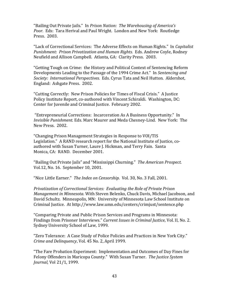"Bailing Out Private Jails." In *Prison Nation: The Warehousing of America's Poor.* Eds: Tara Herival and Paul Wright. London and New York: Routledge Press. 2003.

"Lack of Correctional Services: The Adverse Effects on Human Rights." In *Capitalist Punishment: Prison Privatization and Human Rights.* Eds. Andrew Coyle, Rodney Neufield and Allison Campbell. Atlanta, GA: Clarity Press. 2003.

"Getting Tough on Crime: the History and Political Context of Sentencing Reform Developments Leading to the Passage of the 1994 Crime Act." In *Sentencing and Society: International Perspectives.* Eds. Cyrus Tata and Neil Hutton. Aldershot, England: Ashgate Press. 2002.

"Cutting Correctly: New Prison Policies for Times of Fiscal Crisis." A Justice Policy Institute Report, co-authored with Vincent Schiraldi. Washington, DC: Center for Juvenile and Criminal Justice. February 2002.

"Entrepreneurial Corrections: Incarceration As A Business Opportunity." In *Invisible Punishment.* Eds. Marc Maurer and Meda Chesney-Lind. New York: The New Press. 2002.

"Changing Prison Management Strategies in Response to VOI/TIS Legislation." A RAND research report for the National Institute of Justice, coauthored with Susan Turner, Laure J. Hickman, and Terry Fain. Santa Monica, CA: RAND. December 2001.

"Bailing Out Private Jails" and "Mississippi Churning." *The American Prospect.*  Vol.12, No. 16. September 10, 2001.

"Nice Little Earner." *The Index on Censorship.* Vol. 30, No. 3 Fall, 2001.

*Privatization of Correctional Services: Evaluating the Role of Private Prison Management in Minnesota.* With Steven Belenko, Chuck Davis, Michael Jacobson, and David Schultz. Minneapolis, MN: University of Minnesota Law School Institute on Criminal Justice. At http://www.law.umn.edu/centers/crimjust/sentence.php

"Comparing Private and Public Prison Services and Programs in Minnesota: Findings from Prisoner Interviews." *Current Issues in Criminal Justice*, Vol. II, No. 2. Sydney University School of Law, 1999.

"Zero Tolerance: A Case Study of Police Policies and Practices in New York City." *Crime and Delinquency*, Vol. 45 No. 2, April 1999.

"The Fare Probation Experiment: Implementation and Outcomes of Day Fines for Felony Offenders in Maricopa County." With Susan Turner. *The Justice System Journal,* Vol 21/1, 1999.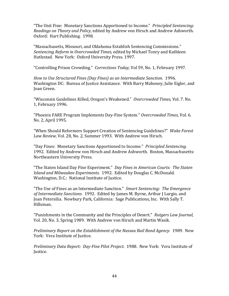"The Unit Fine: Monetary Sanctions Apportioned to Income." *Principled Sentencing: Readings on Theory and Policy,* edited by Andrew von Hirsch and Andrew Ashworth. Oxford: Hart Publishing. 1998.

"Massachusetts, Missouri, and Oklahoma Establish Sentencing Commissions." *Sentencing Reform in Overcrowded Times,* edited by Michael Tonry and Kathleen Hatlestad. New York: Oxford University Press. 1997.

"Controlling Prison Crowding." *Corrections Today,* Vol 59, No. 1, February 1997.

*How to Use Structured Fines (Day Fines) as an Intermediate Sanction.* 1996. Washington DC: Bureau of Justice Assistance. With Barry Mahoney, Julie Eigler, and Joan Green.

"Wisconsin Guidelines Killed, Oregon's Weakened." *Overcrowded Times,* Vol. 7. No. 1, February 1996.

"Phoenix FARE Program Implements Day-Fine System." *Overcrowded Times,* Vol. 6. No. 2, April 1995.

"When Should Reformers Support Creation of Sentencing Guidelines?" *Wake Forest Law Review,* Vol. 28, No. 2, Summer 1993. With Andrew von Hirsch.

"Day Fines: Monetary Sanctions Apportioned to Income." *Principled Sentencing.* 1992. Edited by Andrew von Hirsch and Andrew Ashworth. Boston, Massachusetts: Northeastern University Press.

"The Staten Island Day Fine Experiment." *Day Fines in American Courts: The Staten Island and Milwaukee Experiments.* 1992. Edited by Douglas C. McDonald. Washington, D.C.: National Institute of Justice.

"The Use of Fines as an Intermediate Sanction." *Smart Sentencing: The Emergence of Intermediate Sanctions.* 1992. Edited by James M. Byrne, Arthur J Lurgio, and Joan Petersilia. Newbury Park, California: Sage Publications, Inc. With Sally T. Hillsman.

"Punishments in the Community and the Principles of Desert." *Rutgers Law Journal,* Vol. 20, No. 3, Spring 1989. With Andrew von Hirsch and Martin Wasik.

*Preliminary Report on the Establishment of the Nassau Bail Bond Agency.* 1989. New York: Vera Institute of Justice.

*Preliminary Data Report: Day-Fine Pilot Project.* 1988. New York: Vera Institute of Justice.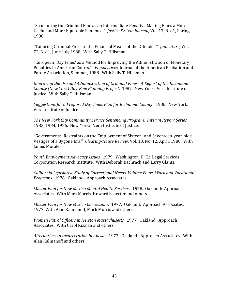"Structuring the Criminal Fine as an Intermediate Penalty: Making Fines a More Useful and More Equitable Sentence." *Justice System Journal,* Vol. 13, No. 1, Spring, 1988.

"Tailoring Criminal Fines to the Financial Means of the Offender." *Judicature,* Vol. 72, No. 1, June-July 1988. With Sally T. Hillsman.

"European `Day Fines' as a Method for Improving the Administration of Monetary Penalties in American Courts." *Perspectives,* Journal of the American Probation and Parole Association, Summer, 1988. With Sally T. Hillsman.

*Improving the Use and Administration of Criminal Fines: A Report of the Richmond County (New York) Day-Fine Planning Project.* 1987. New York: Vera Institute of Justice. With Sally T. Hillsman.

*Suggestions for a Proposed Day Fines Plan for Richmond County.* 1986. New York: Vera Institute of Justice.

*The New York City Community Service Sentencing Program: Interim Report Series.* 1983, 1984, 1985. New York: Vera Institute of Justice.

"Governmental Restraints on the Employment of Sixteen- and Seventeen-year-olds: Vestiges of a Bygone Era." *Clearing-House Review,* Vol. 13, No. 12, April, 1980. With James Morales.

*Youth Employment Advocacy Issues.* 1979. Washington, D. C.: Legal Services Corporation Research Institute. With Deborah Bachrach and Larry Glantz.

*California Legislative Study of Correctional Needs, Volume Four: Work and Vocational Programs.* 1978. Oakland: Approach Associates.

*Master Plan for New Mexico Mental Health Services.* 1978. Oakland: Approach Associates. With Mark Morris, Howard Schecter and others.

*Master Plan for New Mexico Corrections.* 1977. Oakland: Approach Associates, 1977. With Alan Kalmanoff, Mark Morris and others.

*Women Patrol Officers in Newton Massachusetts.* 1977. Oakland: Approach Associates. With Carol Kizziah and others.

*Alternatives to Incarceration in Alaska.* 1977. Oakland: Approach Associates. With Alan Kalmanoff and others.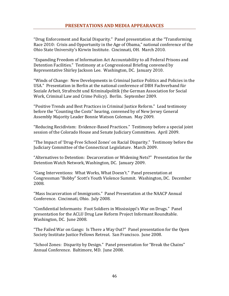"Drug Enforcement and Racial Disparity." Panel presentation at the "Transforming Race 2010: Crisis and Opportunity in the Age of Obama," national conference of the Ohio State University's Kirwin Institute. Cincinnati, OH. March 2010.

"Expanding Freedom of Information Act Accountability to all Federal Prisons and Detention Facilities." Testimony at a Congressional Briefing convened by Representative Shirley Jackson Lee. Washington, DC. January 2010.

"Winds of Change: New Developments in Criminal Justice Politics and Policies in the USA." Presentation in Berlin at the national conference of DBH Fachverband für Soziale Arbeit, Strafrecht und Kriminalpolitik (the German Association for Social Work, Criminal Law and Crime Policy). Berlin. September 2009.

"Positive Trends and Best Practices in Criminal Justice Reform." Lead testimony before the "Counting the Costs" hearing, convened by of New Jersey General Assembly Majority Leader Bonnie Watson Coleman. May 2009.

"Reducing Recidivism: Evidence-Based Practices." Testimony before a special joint session of the Colorado House and Senate Judiciary Committees. April 2009.

"The Impact of 'Drug-Free School Zones' on Racial Disparity." Testimony before the Judiciary Committee of the Connecticut Legislature. March 2009.

"Alternatives to Detention: Decarceration or Widening Nets?" Presentation for the Detention Watch Network, Washington, DC. January 2009.

"Gang Interventions: What Works, What Doesn't." Panel presentation at Congressman "Bobby" Scott's Youth Violence Summit. Washington, DC. December 2008.

"Mass Incarceration of Immigrants." Panel Presentation at the NAACP Annual Conference. Cincinnati, Ohio. July 2008.

"Confidential Informants: Foot Soldiers in Mississippi's War on Drugs." Panel presentation for the ACLU Drug Law Reform Project Informant Roundtable. Washington, DC. June 2008.

"The Failed War on Gangs: Is There a Way Out?" Panel presentation for the Open Society Institute Justice Fellows Retreat. San Francisco. June 2008.

"School Zones: Disparity by Design." Panel presentation for "Break the Chains" Annual Conference. Baltimore, MD. June 2008.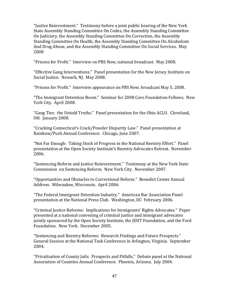"Justice Reinvestment." Testimony before a joint public hearing of the New York State Assembly Standing Committee On Codes, the Assembly Standing Committee On Judiciary, the Assembly Standing Committee On Correction, the Assembly Standing Committee On Health, the Assembly Standing Committee On Alcoholism And Drug Abuse, and the Assembly Standing Committee On Social Services. May 2008

"Prisons for Profit." Interview on PBS Now, national broadcast. May 2008.

"Effective Gang Interventions." Panel presentation for the New Jersey Institute on Social Justice. Newark, NJ. May 2008.

"Prisons for Profit." Interview appearance on PBS Now, broadcast May 5, 2008.

"The Immigrant Detention Boom." Seminar for 2008 Coro Foundation Fellows. New York City. April 2008.

"Gang Ties: the Untold Truths." Panel presentation for the Ohio ACLU. Cleveland, OH. January 2008.

"Cracking Connecticut's Crack/Powder Disparity Law." Panel presentation at Rainbow/Push Annual Conference. Chicago, June 2007.

"Not Far Enough: Taking Stock of Progress in the National Reentry Effort." Panel presentation at the Open Society Institute's Reentry Advocates Retreat. November 2006.

"Sentencing Reform and Justice Reinvestment." Testimony at the New York State Commission on Sentencing Reform. New York City. November 2007.

"Opportunities and Obstacles to Correctional Reform." Benedict Center Annual Address. Milwaukee, Wisconsin. April 2006.

"The Federal Immigrant Detention Industry." American Bar Association Panel presentation at the National Press Club. Washington, DC February 2006.

"Criminal Justice Reforms: Implications for Immigrants' Rights Advocates." Paper presented at a national convening of criminal justice and immigrant advocates jointly sponsored by the Open Society Institute, the JEHT Foundation, and the Ford Foundation. New York. December 2005.

"Sentencing and Reentry Reforms: Research Findings and Future Prospects." General Session at the National Task Conference in Arlington, Virginia. September 2004.

"Privatization of County Jails: Prospects and Pitfalls," Debate panel at the National Association of Counties Annual Conference. Phoenix, Arizona. July 2004.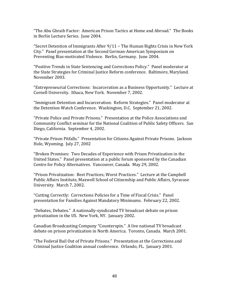"The Abu Ghraib Factor: American Prison Tactics at Home and Abroad." The Books in Berlin Lecture Series. June 2004.

"Secret Detention of Immigrants After 9/11 − The Human Rights Crisis in New York City." Panel presentation at the Second German-American Symposium on Preventing Bias-motivated Violence. Berlin, Germany. June 2004.

"Positive Trends in State Sentencing and Corrections Policy." Panel moderator at the State Strategies for Criminal Justice Reform conference. Baltimore, Maryland. November 2003.

"Entrepreneurial Corrections: Incarceration as a Business Opportunity." Lecture at Cornell University. Ithaca, New York. November 7, 2002.

"Immigrant Detention and Incarceration: Reform Strategies." Panel moderator at the Detention Watch Conference. Washington, D.C. September 21, 2002.

"Private Police and Private Prisons." Presentation at the Police Associations and Community Conflict seminar for the National Coalition of Public Safety Officers. San Diego, California. September 4, 2002.

"Private Prison Pitfalls." Presentation for Citizens Against Private Prisons. Jackson Hole, Wyoming. July 27, 2002

"Broken Promises: Two Decades of Experience with Prison Privatization in the United States." Panel presentation at a public forum sponsored by the Canadian Centre for Policy Alternatives. Vancouver, Canada. May 29, 2002.

"Prison Privatization: Best Practices; Worst Practices." Lecture at the Campbell Public Affairs Institute, Maxwell School of Citizenship and Public Affairs, Syracuse University. March 7, 2002.

"Cutting Correctly: Corrections Policies for a Time of Fiscal Crisis." Panel presentation for Families Against Mandatory Minimums. February 22, 2002.

"Debates, Debates." A nationally-syndicated TV broadcast debate on prison privatization in the US. New York, NY. January 2002.

Canadian Broadcasting Company "Counterspin." A live national TV broadcast debate on prison privatization in North America. Toronto, Canada. March 2001.

"The Federal Bail Out of Private Prisons." Presentation at the Corrections and Criminal Justice Coalition annual conference. Orlando, FL. January 2001.